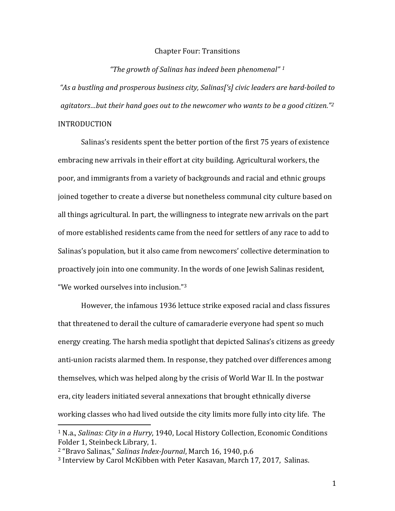## Chapter Four: Transitions

## *"The growth of Salinas has indeed been phenomenal" [1](#page-0-0)*

*"As a bustling and prosperous business city, Salinas['s] civic leaders are hard-boiled to agitators…but their hand goes out to the newcomer who wants to be a good citizen."[2](#page-0-1)* INTRODUCTION

Salinas's residents spent the better portion of the first 75 years of existence embracing new arrivals in their effort at city building. Agricultural workers, the poor, and immigrants from a variety of backgrounds and racial and ethnic groups joined together to create a diverse but nonetheless communal city culture based on all things agricultural. In part, the willingness to integrate new arrivals on the part of more established residents came from the need for settlers of any race to add to Salinas's population, but it also came from newcomers' collective determination to proactively join into one community. In the words of one Jewish Salinas resident, "We worked ourselves into inclusion.["3](#page-0-2)

However, the infamous 1936 lettuce strike exposed racial and class fissures that threatened to derail the culture of camaraderie everyone had spent so much energy creating. The harsh media spotlight that depicted Salinas's citizens as greedy anti-union racists alarmed them. In response, they patched over differences among themselves, which was helped along by the crisis of World War II. In the postwar era, city leaders initiated several annexations that brought ethnically diverse working classes who had lived outside the city limits more fully into city life. The

<span id="page-0-0"></span> <sup>1</sup> N.a., *Salinas: City in a Hurry*, 1940, Local History Collection, Economic Conditions Folder 1, Steinbeck Library, 1.

<span id="page-0-1"></span><sup>2</sup> "Bravo Salinas," *Salinas Index-Journal*, March 16, 1940, p.6

<span id="page-0-2"></span><sup>3</sup> Interview by Carol McKibben with Peter Kasavan, March 17, 2017, Salinas.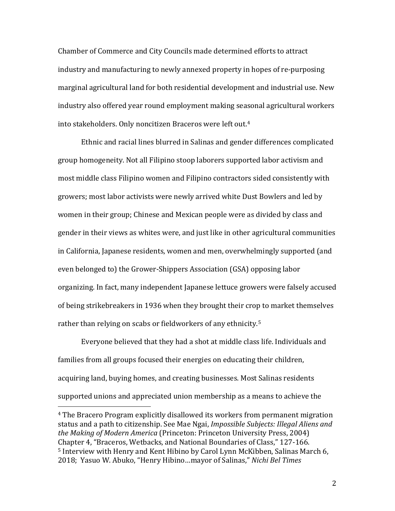Chamber of Commerce and City Councils made determined efforts to attract industry and manufacturing to newly annexed property in hopes of re-purposing marginal agricultural land for both residential development and industrial use. New industry also offered year round employment making seasonal agricultural workers into stakeholders. Only noncitizen Braceros were left out.[4](#page-1-0)

Ethnic and racial lines blurred in Salinas and gender differences complicated group homogeneity. Not all Filipino stoop laborers supported labor activism and most middle class Filipino women and Filipino contractors sided consistently with growers; most labor activists were newly arrived white Dust Bowlers and led by women in their group; Chinese and Mexican people were as divided by class and gender in their views as whites were, and just like in other agricultural communities in California, Japanese residents, women and men, overwhelmingly supported (and even belonged to) the Grower-Shippers Association (GSA) opposing labor organizing. In fact, many independent Japanese lettuce growers were falsely accused of being strikebreakers in 1936 when they brought their crop to market themselves rather than relying on scabs or fieldworkers of any ethnicity. [5](#page-1-1)

Everyone believed that they had a shot at middle class life. Individuals and families from all groups focused their energies on educating their children, acquiring land, buying homes, and creating businesses. Most Salinas residents supported unions and appreciated union membership as a means to achieve the

<span id="page-1-1"></span><span id="page-1-0"></span> <sup>4</sup> The Bracero Program explicitly disallowed its workers from permanent migration status and a path to citizenship. See Mae Ngai, *Impossible Subjects: Illegal Aliens and the Making of Modern America* (Princeton: Princeton University Press, 2004) Chapter 4, "Braceros, Wetbacks, and National Boundaries of Class," 127-166. <sup>5</sup> Interview with Henry and Kent Hibino by Carol Lynn McKibben, Salinas March 6, 2018; Yasuo W. Abuko, "Henry Hibino…mayor of Salinas," *Nichi Bel Times*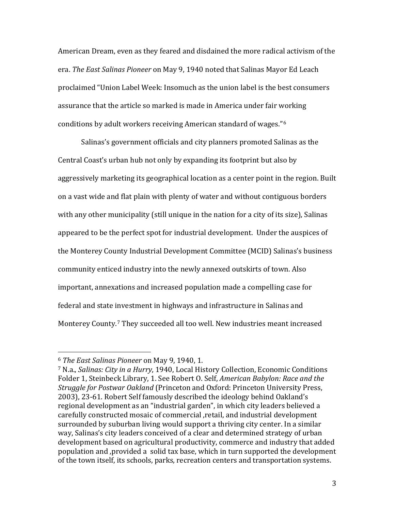American Dream, even as they feared and disdained the more radical activism of the era. *The East Salinas Pioneer* on May 9, 1940 noted that Salinas Mayor Ed Leach proclaimed "Union Label Week: Insomuch as the union label is the best consumers assurance that the article so marked is made in America under fair working conditions by adult workers receiving American standard of wages."[6](#page-2-0)

Salinas's government officials and city planners promoted Salinas as the Central Coast's urban hub not only by expanding its footprint but also by aggressively marketing its geographical location as a center point in the region. Built on a vast wide and flat plain with plenty of water and without contiguous borders with any other municipality (still unique in the nation for a city of its size), Salinas appeared to be the perfect spot for industrial development. Under the auspices of the Monterey County Industrial Development Committee (MCID) Salinas's business community enticed industry into the newly annexed outskirts of town. Also important, annexations and increased population made a compelling case for federal and state investment in highways and infrastructure in Salinas and Monterey County. [7](#page-2-1) They succeeded all too well. New industries meant increased

<span id="page-2-0"></span> <sup>6</sup> *The East Salinas Pioneer* on May 9, 1940, 1.

<span id="page-2-1"></span><sup>7</sup> N.a., *Salinas: City in a Hurry*, 1940, Local History Collection, Economic Conditions Folder 1, Steinbeck Library, 1. See Robert O. Self, *American Babylon: Race and the Struggle for Postwar Oakland* (Princeton and Oxford: Princeton University Press, 2003), 23-61. Robert Self famously described the ideology behind Oakland's regional development as an "industrial garden", in which city leaders believed a carefully constructed mosaic of commercial ,retail, and industrial development surrounded by suburban living would support a thriving city center. In a similar way, Salinas's city leaders conceived of a clear and determined strategy of urban development based on agricultural productivity, commerce and industry that added population and ,provided a solid tax base, which in turn supported the development of the town itself, its schools, parks, recreation centers and transportation systems.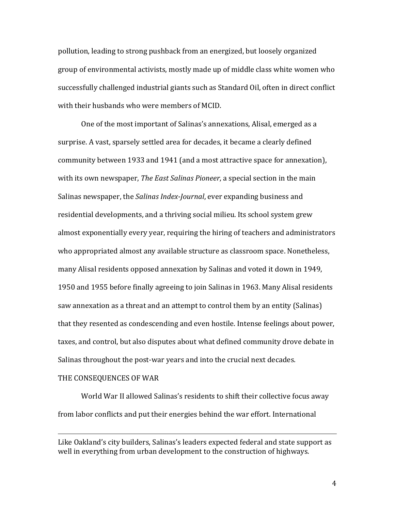pollution, leading to strong pushback from an energized, but loosely organized group of environmental activists, mostly made up of middle class white women who successfully challenged industrial giants such as Standard Oil, often in direct conflict with their husbands who were members of MCID.

One of the most important of Salinas's annexations, Alisal, emerged as a surprise. A vast, sparsely settled area for decades, it became a clearly defined community between 1933 and 1941 (and a most attractive space for annexation), with its own newspaper, *The East Salinas Pioneer*, a special section in the main Salinas newspaper, the *Salinas Index-Journal*, ever expanding business and residential developments, and a thriving social milieu. Its school system grew almost exponentially every year, requiring the hiring of teachers and administrators who appropriated almost any available structure as classroom space. Nonetheless, many Alisal residents opposed annexation by Salinas and voted it down in 1949, 1950 and 1955 before finally agreeing to join Salinas in 1963. Many Alisal residents saw annexation as a threat and an attempt to control them by an entity (Salinas) that they resented as condescending and even hostile. Intense feelings about power, taxes, and control, but also disputes about what defined community drove debate in Salinas throughout the post-war years and into the crucial next decades.

## THE CONSEQUENCES OF WAR

i<br>I

World War II allowed Salinas's residents to shift their collective focus away from labor conflicts and put their energies behind the war effort. International

Like Oakland's city builders, Salinas's leaders expected federal and state support as well in everything from urban development to the construction of highways.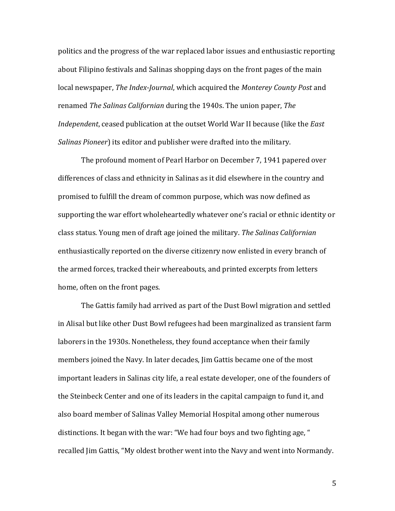politics and the progress of the war replaced labor issues and enthusiastic reporting about Filipino festivals and Salinas shopping days on the front pages of the main local newspaper, *The Index-Journal*, which acquired the *Monterey County Post* and renamed *The Salinas Californian* during the 1940s. The union paper, *The Independent*, ceased publication at the outset World War II because (like the *East Salinas Pioneer*) its editor and publisher were drafted into the military.

The profound moment of Pearl Harbor on December 7, 1941 papered over differences of class and ethnicity in Salinas as it did elsewhere in the country and promised to fulfill the dream of common purpose, which was now defined as supporting the war effort wholeheartedly whatever one's racial or ethnic identity or class status. Young men of draft age joined the military. *The Salinas Californian* enthusiastically reported on the diverse citizenry now enlisted in every branch of the armed forces, tracked their whereabouts, and printed excerpts from letters home, often on the front pages.

The Gattis family had arrived as part of the Dust Bowl migration and settled in Alisal but like other Dust Bowl refugees had been marginalized as transient farm laborers in the 1930s. Nonetheless, they found acceptance when their family members joined the Navy. In later decades, Jim Gattis became one of the most important leaders in Salinas city life, a real estate developer, one of the founders of the Steinbeck Center and one of its leaders in the capital campaign to fund it, and also board member of Salinas Valley Memorial Hospital among other numerous distinctions. It began with the war: "We had four boys and two fighting age, " recalled Jim Gattis, "My oldest brother went into the Navy and went into Normandy.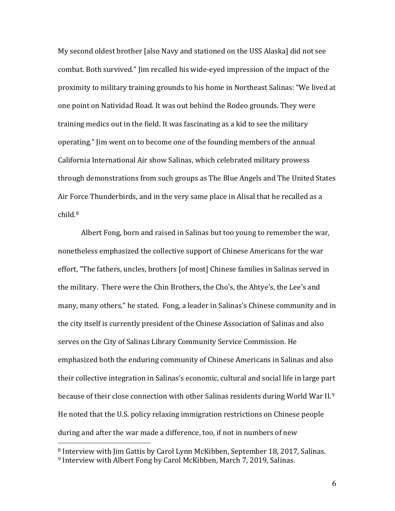My second oldest brother [also Navy and stationed on the USS Alaska] did not see combat. Both survived." Jim recalled his wide-eyed impression of the impact of the proximity to military training grounds to his home in Northeast Salinas: "We lived at one point on Natividad Road. It was out behind the Rodeo grounds. They were training medics out in the field. It was fascinating as a kid to see the military operating." Jim went on to become one of the founding members of the annual California International Air show Salinas, which celebrated military prowess through demonstrations from such groups as The Blue Angels and The United States Air Force Thunderbirds, and in the very same place in Alisal that he recalled as a child.[8](#page-5-0)

Albert Fong, born and raised in Salinas but too young to remember the war, nonetheless emphasized the collective support of Chinese Americans for the war effort, "The fathers, uncles, brothers [of most] Chinese families in Salinas served in the military. There were the Chin Brothers, the Cho's, the Ahtye's, the Lee's and many, many others," he stated. Fong, a leader in Salinas's Chinese community and in the city itself is currently president of the Chinese Association of Salinas and also serves on the City of Salinas Library Community Service Commission. He emphasized both the enduring community of Chinese Americans in Salinas and also their collective integration in Salinas's economic, cultural and social life in large part because of their close connection with other Salinas residents during World War II.[9](#page-5-1) He noted that the U.S. policy relaxing immigration restrictions on Chinese people during and after the war made a difference, too, if not in numbers of new

<span id="page-5-1"></span><span id="page-5-0"></span> 8 Interview with Jim Gattis by Carol Lynn McKibben, September 18, 2017, Salinas. <sup>9</sup> Interview with Albert Fong by Carol McKibben, March 7, 2019, Salinas.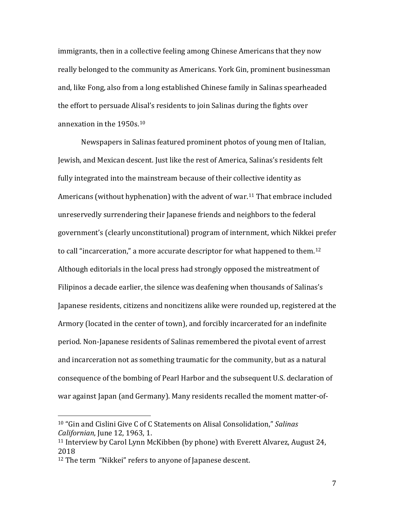immigrants, then in a collective feeling among Chinese Americans that they now really belonged to the community as Americans. York Gin, prominent businessman and, like Fong, also from a long established Chinese family in Salinas spearheaded the effort to persuade Alisal's residents to join Salinas during the fights over annexation in the 1950s.[10](#page-6-0)

Newspapers in Salinas featured prominent photos of young men of Italian, Jewish, and Mexican descent. Just like the rest of America, Salinas's residents felt fully integrated into the mainstream because of their collective identity as Americans (without hyphenation) with the advent of war.[11](#page-6-1) That embrace included unreservedly surrendering their Japanese friends and neighbors to the federal government's (clearly unconstitutional) program of internment, which Nikkei prefer to call "incarceration," a more accurate descriptor for what happened to them. [12](#page-6-2) Although editorials in the local press had strongly opposed the mistreatment of Filipinos a decade earlier, the silence was deafening when thousands of Salinas's Japanese residents, citizens and noncitizens alike were rounded up, registered at the Armory (located in the center of town), and forcibly incarcerated for an indefinite period. Non-Japanese residents of Salinas remembered the pivotal event of arrest and incarceration not as something traumatic for the community, but as a natural consequence of the bombing of Pearl Harbor and the subsequent U.S. declaration of war against Japan (and Germany). Many residents recalled the moment matter-of-

<span id="page-6-0"></span> <sup>10</sup> "Gin and Cislini Give C of C Statements on Alisal Consolidation," *Salinas Californian*, June 12, 1963, 1.

<span id="page-6-1"></span><sup>11</sup> Interview by Carol Lynn McKibben (by phone) with Everett Alvarez, August 24, 2018

<span id="page-6-2"></span><sup>12</sup> The term "Nikkei" refers to anyone of Japanese descent.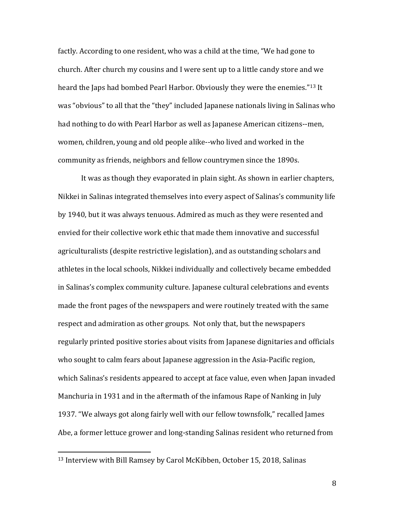factly. According to one resident, who was a child at the time, "We had gone to church. After church my cousins and I were sent up to a little candy store and we heard the Japs had bombed Pearl Harbor. Obviously they were the enemies."[13](#page-7-0) It was "obvious" to all that the "they" included Japanese nationals living in Salinas who had nothing to do with Pearl Harbor as well as Japanese American citizens--men, women, children, young and old people alike--who lived and worked in the community as friends, neighbors and fellow countrymen since the 1890s.

It was as though they evaporated in plain sight. As shown in earlier chapters, Nikkei in Salinas integrated themselves into every aspect of Salinas's community life by 1940, but it was always tenuous. Admired as much as they were resented and envied for their collective work ethic that made them innovative and successful agriculturalists (despite restrictive legislation), and as outstanding scholars and athletes in the local schools, Nikkei individually and collectively became embedded in Salinas's complex community culture. Japanese cultural celebrations and events made the front pages of the newspapers and were routinely treated with the same respect and admiration as other groups. Not only that, but the newspapers regularly printed positive stories about visits from Japanese dignitaries and officials who sought to calm fears about Japanese aggression in the Asia-Pacific region, which Salinas's residents appeared to accept at face value, even when Japan invaded Manchuria in 1931 and in the aftermath of the infamous Rape of Nanking in July 1937. "We always got along fairly well with our fellow townsfolk," recalled James Abe, a former lettuce grower and long-standing Salinas resident who returned from

<span id="page-7-0"></span> <sup>13</sup> Interview with Bill Ramsey by Carol McKibben, October 15, 2018, Salinas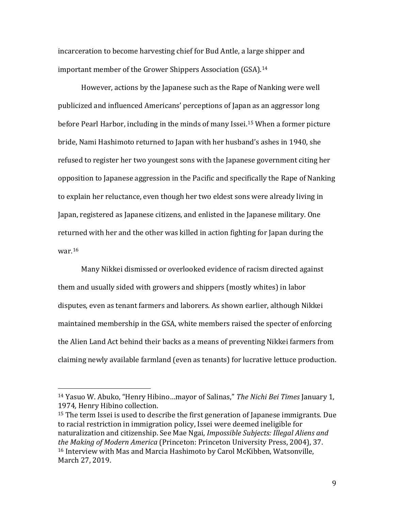incarceration to become harvesting chief for Bud Antle, a large shipper and important member of the Grower Shippers Association (GSA). [14](#page-8-0)

However, actions by the Japanese such as the Rape of Nanking were well publicized and influenced Americans' perceptions of Japan as an aggressor long before Pearl Harbor, including in the minds of many Issei.[15](#page-8-1) When a former picture bride, Nami Hashimoto returned to Japan with her husband's ashes in 1940, she refused to register her two youngest sons with the Japanese government citing her opposition to Japanese aggression in the Pacific and specifically the Rape of Nanking to explain her reluctance, even though her two eldest sons were already living in Japan, registered as Japanese citizens, and enlisted in the Japanese military. One returned with her and the other was killed in action fighting for Japan during the war.[16](#page-8-2)

Many Nikkei dismissed or overlooked evidence of racism directed against them and usually sided with growers and shippers (mostly whites) in labor disputes, even as tenant farmers and laborers. As shown earlier, although Nikkei maintained membership in the GSA, white members raised the specter of enforcing the Alien Land Act behind their backs as a means of preventing Nikkei farmers from claiming newly available farmland (even as tenants) for lucrative lettuce production.

<span id="page-8-0"></span> <sup>14</sup> Yasuo W. Abuko, "Henry Hibino…mayor of Salinas," *The Nichi Bei Times* January 1, 1974*,* Henry Hibino collection.

<span id="page-8-2"></span><span id="page-8-1"></span><sup>&</sup>lt;sup>15</sup> The term Issei is used to describe the first generation of Japanese immigrants. Due to racial restriction in immigration policy, Issei were deemed ineligible for naturalization and citizenship. See Mae Ngai, *Impossible Subjects: Illegal Aliens and the Making of Modern America* (Princeton: Princeton University Press, 2004), 37. <sup>16</sup> Interview with Mas and Marcia Hashimoto by Carol McKibben, Watsonville, March 27, 2019.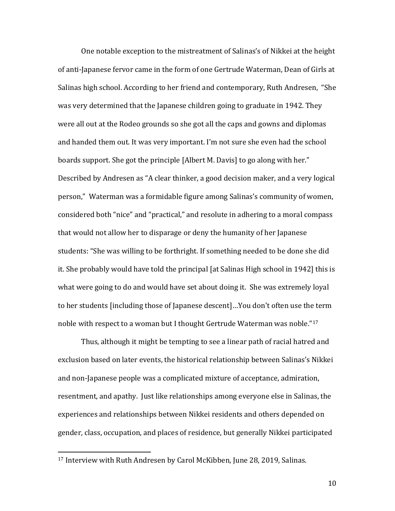One notable exception to the mistreatment of Salinas's of Nikkei at the height of anti-Japanese fervor came in the form of one Gertrude Waterman, Dean of Girls at Salinas high school. According to her friend and contemporary, Ruth Andresen, "She was very determined that the Japanese children going to graduate in 1942. They were all out at the Rodeo grounds so she got all the caps and gowns and diplomas and handed them out. It was very important. I'm not sure she even had the school boards support. She got the principle [Albert M. Davis] to go along with her." Described by Andresen as "A clear thinker, a good decision maker, and a very logical person," Waterman was a formidable figure among Salinas's community of women, considered both "nice" and "practical," and resolute in adhering to a moral compass that would not allow her to disparage or deny the humanity of her Japanese students: "She was willing to be forthright. If something needed to be done she did it. She probably would have told the principal [at Salinas High school in 1942] this is what were going to do and would have set about doing it. She was extremely loyal to her students [including those of Japanese descent]…You don't often use the term noble with respect to a woman but I thought Gertrude Waterman was noble."[17](#page-9-0)

Thus, although it might be tempting to see a linear path of racial hatred and exclusion based on later events, the historical relationship between Salinas's Nikkei and non-Japanese people was a complicated mixture of acceptance, admiration, resentment, and apathy. Just like relationships among everyone else in Salinas, the experiences and relationships between Nikkei residents and others depended on gender, class, occupation, and places of residence, but generally Nikkei participated

<span id="page-9-0"></span> <sup>17</sup> Interview with Ruth Andresen by Carol McKibben, June 28, 2019, Salinas.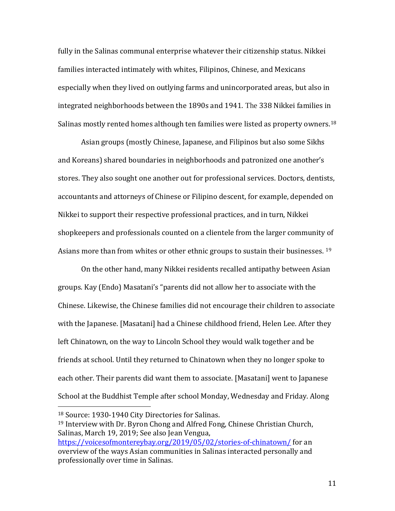fully in the Salinas communal enterprise whatever their citizenship status. Nikkei families interacted intimately with whites, Filipinos, Chinese, and Mexicans especially when they lived on outlying farms and unincorporated areas, but also in integrated neighborhoods between the 1890s and 1941. The 338 Nikkei families in Salinas mostly rented homes although ten families were listed as property owners.<sup>[18](#page-10-0)</sup>

Asian groups (mostly Chinese, Japanese, and Filipinos but also some Sikhs and Koreans) shared boundaries in neighborhoods and patronized one another's stores. They also sought one another out for professional services. Doctors, dentists, accountants and attorneys of Chinese or Filipino descent, for example, depended on Nikkei to support their respective professional practices, and in turn, Nikkei shopkeepers and professionals counted on a clientele from the larger community of Asians more than from whites or other ethnic groups to sustain their businesses. <sup>[19](#page-10-1)</sup>

On the other hand, many Nikkei residents recalled antipathy between Asian groups. Kay (Endo) Masatani's "parents did not allow her to associate with the Chinese. Likewise, the Chinese families did not encourage their children to associate with the Japanese. [Masatani] had a Chinese childhood friend, Helen Lee. After they left Chinatown, on the way to Lincoln School they would walk together and be friends at school. Until they returned to Chinatown when they no longer spoke to each other. Their parents did want them to associate. [Masatani] went to Japanese School at the Buddhist Temple after school Monday, Wednesday and Friday. Along

<span id="page-10-0"></span> <sup>18</sup> Source: 1930-1940 City Directories for Salinas.

<span id="page-10-1"></span><sup>19</sup> Interview with Dr. Byron Chong and Alfred Fong, Chinese Christian Church, Salinas, March 19, 2019; See also Jean Vengua,

<https://voicesofmontereybay.org/2019/05/02/stories-of-chinatown/> for an overview of the ways Asian communities in Salinas interacted personally and professionally over time in Salinas.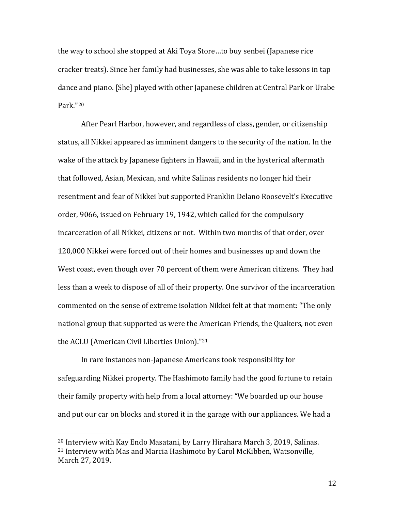the way to school she stopped at Aki Toya Store…to buy senbei (Japanese rice cracker treats). Since her family had businesses, she was able to take lessons in tap dance and piano. [She] played with other Japanese children at Central Park or Urabe Park."[20](#page-11-0)

After Pearl Harbor, however, and regardless of class, gender, or citizenship status, all Nikkei appeared as imminent dangers to the security of the nation. In the wake of the attack by Japanese fighters in Hawaii, and in the hysterical aftermath that followed, Asian, Mexican, and white Salinas residents no longer hid their resentment and fear of Nikkei but supported Franklin Delano Roosevelt's Executive order, 9066, issued on February 19, 1942, which called for the compulsory incarceration of all Nikkei, citizens or not. Within two months of that order, over 120,000 Nikkei were forced out of their homes and businesses up and down the West coast, even though over 70 percent of them were American citizens. They had less than a week to dispose of all of their property. One survivor of the incarceration commented on the sense of extreme isolation Nikkei felt at that moment: "The only national group that supported us were the American Friends, the Quakers, not even the ACLU (American Civil Liberties Union).["21](#page-11-1)

In rare instances non-Japanese Americans took responsibility for safeguarding Nikkei property. The Hashimoto family had the good fortune to retain their family property with help from a local attorney: "We boarded up our house and put our car on blocks and stored it in the garage with our appliances. We had a

<span id="page-11-1"></span><span id="page-11-0"></span> <sup>20</sup> Interview with Kay Endo Masatani, by Larry Hirahara March 3, 2019, Salinas. <sup>21</sup> Interview with Mas and Marcia Hashimoto by Carol McKibben, Watsonville, March 27, 2019.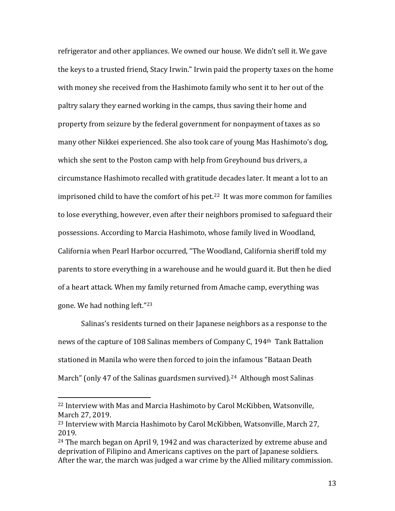refrigerator and other appliances. We owned our house. We didn't sell it. We gave the keys to a trusted friend, Stacy Irwin." Irwin paid the property taxes on the home with money she received from the Hashimoto family who sent it to her out of the paltry salary they earned working in the camps, thus saving their home and property from seizure by the federal government for nonpayment of taxes as so many other Nikkei experienced. She also took care of young Mas Hashimoto's dog, which she sent to the Poston camp with help from Greyhound bus drivers, a circumstance Hashimoto recalled with gratitude decades later. It meant a lot to an imprisoned child to have the comfort of his pet.<sup>22</sup> It was more common for families to lose everything, however, even after their neighbors promised to safeguard their possessions. According to Marcia Hashimoto, whose family lived in Woodland, California when Pearl Harbor occurred, "The Woodland, California sheriff told my parents to store everything in a warehouse and he would guard it. But then he died of a heart attack. When my family returned from Amache camp, everything was gone. We had nothing left."[23](#page-12-1)

Salinas's residents turned on their Japanese neighbors as a response to the news of the capture of 108 Salinas members of Company C, 194th Tank Battalion stationed in Manila who were then forced to join the infamous "Bataan Death March" (only 47 of the Salinas guardsmen survived).<sup>[24](#page-12-2)</sup> Although most Salinas

<span id="page-12-0"></span> <sup>22</sup> Interview with Mas and Marcia Hashimoto by Carol McKibben, Watsonville, March 27, 2019.

<span id="page-12-1"></span><sup>23</sup> Interview with Marcia Hashimoto by Carol McKibben, Watsonville, March 27, 2019.

<span id="page-12-2"></span><sup>24</sup> The march began on April 9, 1942 and was characterized by extreme abuse and deprivation of Filipino and Americans captives on the part of Japanese soldiers. After the war, the march was judged a war crime by the Allied military commission.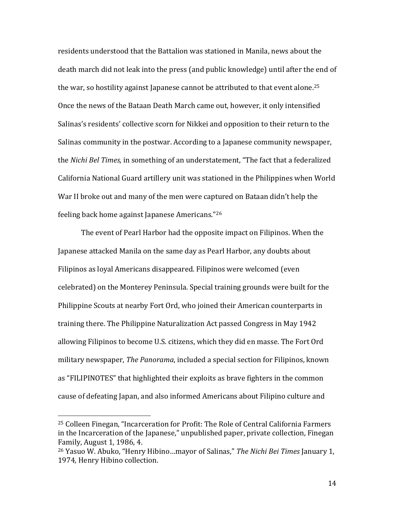residents understood that the Battalion was stationed in Manila, news about the death march did not leak into the press (and public knowledge) until after the end of the war, so hostility against Japanese cannot be attributed to that event alone.<sup>[25](#page-13-0)</sup> Once the news of the Bataan Death March came out, however, it only intensified Salinas's residents' collective scorn for Nikkei and opposition to their return to the Salinas community in the postwar. According to a Japanese community newspaper, the *Nichi Bel Times,* in something of an understatement, "The fact that a federalized California National Guard artillery unit was stationed in the Philippines when World War II broke out and many of the men were captured on Bataan didn't help the feeling back home against Japanese Americans."[26](#page-13-1)

The event of Pearl Harbor had the opposite impact on Filipinos. When the Japanese attacked Manila on the same day as Pearl Harbor, any doubts about Filipinos as loyal Americans disappeared. Filipinos were welcomed (even celebrated) on the Monterey Peninsula. Special training grounds were built for the Philippine Scouts at nearby Fort Ord, who joined their American counterparts in training there. The Philippine Naturalization Act passed Congress in May 1942 allowing Filipinos to become U.S. citizens, which they did en masse. The Fort Ord military newspaper, *The Panorama*, included a special section for Filipinos, known as "FILIPINOTES" that highlighted their exploits as brave fighters in the common cause of defeating Japan, and also informed Americans about Filipino culture and

<span id="page-13-0"></span> <sup>25</sup> Colleen Finegan, "Incarceration for Profit: The Role of Central California Farmers in the Incarceration of the Japanese," unpublished paper, private collection, Finegan Family, August 1, 1986, 4.

<span id="page-13-1"></span><sup>26</sup> Yasuo W. Abuko, "Henry Hibino…mayor of Salinas," *The Nichi Bei Times* January 1, 1974*,* Henry Hibino collection.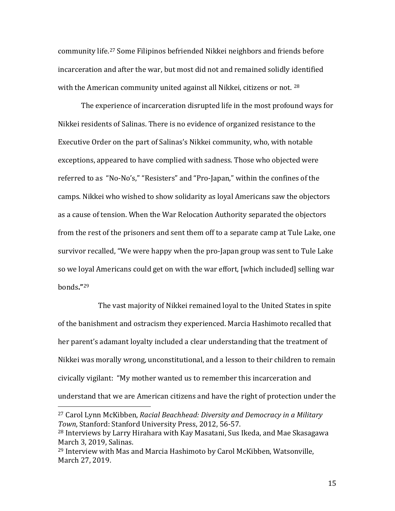community life. [27](#page-14-0) Some Filipinos befriended Nikkei neighbors and friends before incarceration and after the war, but most did not and remained solidly identified with the American community united against all Nikkei, citizens or not. <sup>[28](#page-14-1)</sup>

The experience of incarceration disrupted life in the most profound ways for Nikkei residents of Salinas. There is no evidence of organized resistance to the Executive Order on the part of Salinas's Nikkei community, who, with notable exceptions, appeared to have complied with sadness. Those who objected were referred to as "No-No's," "Resisters" and "Pro-Japan," within the confines of the camps. Nikkei who wished to show solidarity as loyal Americans saw the objectors as a cause of tension. When the War Relocation Authority separated the objectors from the rest of the prisoners and sent them off to a separate camp at Tule Lake, one survivor recalled, "We were happy when the pro-Japan group was sent to Tule Lake so we loyal Americans could get on with the war effort, [which included] selling war bonds**."**[29](#page-14-2)

The vast majority of Nikkei remained loyal to the United States in spite of the banishment and ostracism they experienced. Marcia Hashimoto recalled that her parent's adamant loyalty included a clear understanding that the treatment of Nikkei was morally wrong, unconstitutional, and a lesson to their children to remain civically vigilant: "My mother wanted us to remember this incarceration and understand that we are American citizens and have the right of protection under the

<span id="page-14-0"></span> <sup>27</sup> Carol Lynn McKibben, *Racial Beachhead: Diversity and Democracy in a Military Town*, Stanford: Stanford University Press, 2012, 56-57.

<span id="page-14-1"></span><sup>28</sup> Interviews by Larry Hirahara with Kay Masatani, Sus Ikeda, and Mae Skasagawa March 3, 2019, Salinas.

<span id="page-14-2"></span><sup>29</sup> Interview with Mas and Marcia Hashimoto by Carol McKibben, Watsonville, March 27, 2019.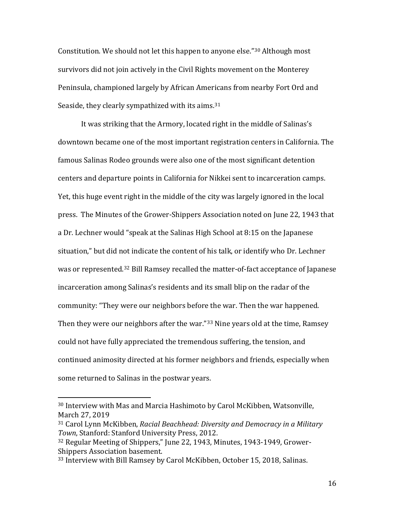Constitution. We should not let this happen to anyone else."[30](#page-15-0) Although most survivors did not join actively in the Civil Rights movement on the Monterey Peninsula, championed largely by African Americans from nearby Fort Ord and Seaside, they clearly sympathized with its aims.<sup>[31](#page-15-1)</sup>

It was striking that the Armory, located right in the middle of Salinas's downtown became one of the most important registration centers in California. The famous Salinas Rodeo grounds were also one of the most significant detention centers and departure points in California for Nikkei sent to incarceration camps. Yet, this huge event right in the middle of the city was largely ignored in the local press. The Minutes of the Grower-Shippers Association noted on June 22, 1943 that a Dr. Lechner would "speak at the Salinas High School at 8:15 on the Japanese situation," but did not indicate the content of his talk, or identify who Dr. Lechner was or represented.[32](#page-15-2) Bill Ramsey recalled the matter-of-fact acceptance of Japanese incarceration among Salinas's residents and its small blip on the radar of the community: "They were our neighbors before the war. Then the war happened. Then they were our neighbors after the war."<sup>[33](#page-15-3)</sup> Nine years old at the time, Ramsey could not have fully appreciated the tremendous suffering, the tension, and continued animosity directed at his former neighbors and friends, especially when some returned to Salinas in the postwar years.

<span id="page-15-0"></span> <sup>30</sup> Interview with Mas and Marcia Hashimoto by Carol McKibben, Watsonville, March 27, 2019

<span id="page-15-1"></span><sup>31</sup> Carol Lynn McKibben, *Racial Beachhead: Diversity and Democracy in a Military Town*, Stanford: Stanford University Press, 2012.

<span id="page-15-2"></span><sup>32</sup> Regular Meeting of Shippers," June 22, 1943, Minutes, 1943-1949, Grower-Shippers Association basement.

<span id="page-15-3"></span><sup>33</sup> Interview with Bill Ramsey by Carol McKibben, October 15, 2018, Salinas.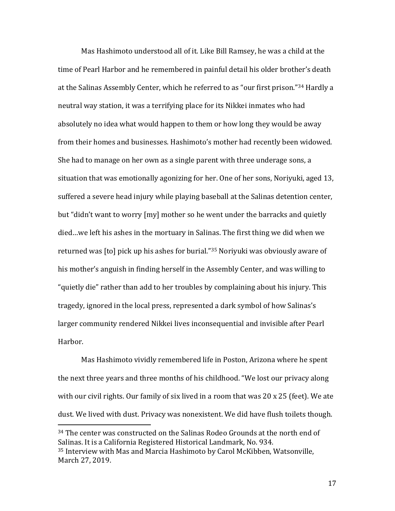Mas Hashimoto understood all of it. Like Bill Ramsey, he was a child at the time of Pearl Harbor and he remembered in painful detail his older brother's death at the Salinas Assembly Center, which he referred to as "our first prison.["34](#page-16-0) Hardly a neutral way station, it was a terrifying place for its Nikkei inmates who had absolutely no idea what would happen to them or how long they would be away from their homes and businesses. Hashimoto's mother had recently been widowed. She had to manage on her own as a single parent with three underage sons, a situation that was emotionally agonizing for her. One of her sons, Noriyuki, aged 13, suffered a severe head injury while playing baseball at the Salinas detention center, but "didn't want to worry [my] mother so he went under the barracks and quietly died…we left his ashes in the mortuary in Salinas. The first thing we did when we returned was [to] pick up his ashes for burial."[35](#page-16-1) Noriyuki was obviously aware of his mother's anguish in finding herself in the Assembly Center, and was willing to "quietly die" rather than add to her troubles by complaining about his injury. This tragedy, ignored in the local press, represented a dark symbol of how Salinas's larger community rendered Nikkei lives inconsequential and invisible after Pearl Harbor.

Mas Hashimoto vividly remembered life in Poston, Arizona where he spent the next three years and three months of his childhood. "We lost our privacy along with our civil rights. Our family of six lived in a room that was 20 x 25 (feet). We ate dust. We lived with dust. Privacy was nonexistent. We did have flush toilets though.

<span id="page-16-1"></span><span id="page-16-0"></span> <sup>34</sup> The center was constructed on the Salinas Rodeo Grounds at the north end of Salinas. It is a California Registered Historical Landmark, No. 934. <sup>35</sup> Interview with Mas and Marcia Hashimoto by Carol McKibben, Watsonville, March 27, 2019.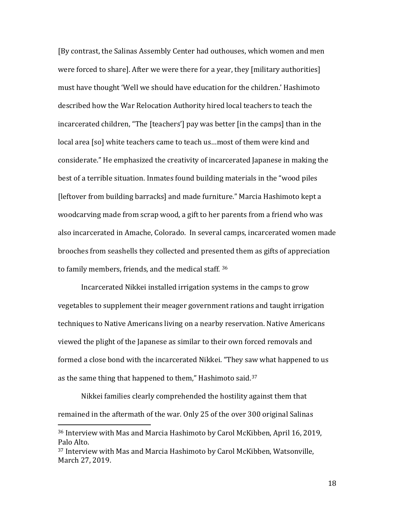[By contrast, the Salinas Assembly Center had outhouses, which women and men were forced to share]. After we were there for a year, they [military authorities] must have thought 'Well we should have education for the children.' Hashimoto described how the War Relocation Authority hired local teachers to teach the incarcerated children, "The [teachers'] pay was better [in the camps] than in the local area [so] white teachers came to teach us…most of them were kind and considerate." He emphasized the creativity of incarcerated Japanese in making the best of a terrible situation. Inmates found building materials in the "wood piles [leftover from building barracks] and made furniture." Marcia Hashimoto kept a woodcarving made from scrap wood, a gift to her parents from a friend who was also incarcerated in Amache, Colorado. In several camps, incarcerated women made brooches from seashells they collected and presented them as gifts of appreciation to family members, friends, and the medical staff. [36](#page-17-0)

Incarcerated Nikkei installed irrigation systems in the camps to grow vegetables to supplement their meager government rations and taught irrigation techniques to Native Americans living on a nearby reservation. Native Americans viewed the plight of the Japanese as similar to their own forced removals and formed a close bond with the incarcerated Nikkei. "They saw what happened to us as the same thing that happened to them," Hashimoto said.[37](#page-17-1)

Nikkei families clearly comprehended the hostility against them that remained in the aftermath of the war. Only 25 of the over 300 original Salinas

<span id="page-17-0"></span> <sup>36</sup> Interview with Mas and Marcia Hashimoto by Carol McKibben, April 16, 2019, Palo Alto.

<span id="page-17-1"></span><sup>37</sup> Interview with Mas and Marcia Hashimoto by Carol McKibben, Watsonville, March 27, 2019.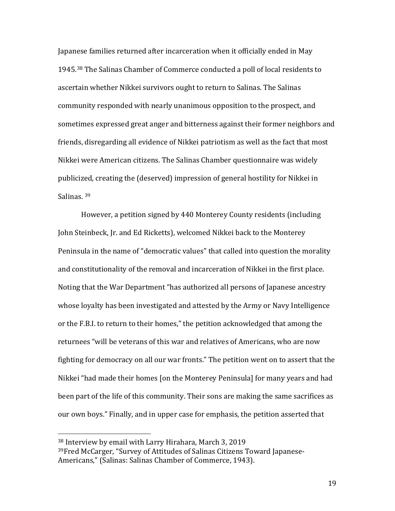Japanese families returned after incarceration when it officially ended in May 1945.[38](#page-18-0) The Salinas Chamber of Commerce conducted a poll of local residents to ascertain whether Nikkei survivors ought to return to Salinas. The Salinas community responded with nearly unanimous opposition to the prospect, and sometimes expressed great anger and bitterness against their former neighbors and friends, disregarding all evidence of Nikkei patriotism as well as the fact that most Nikkei were American citizens. The Salinas Chamber questionnaire was widely publicized, creating the (deserved) impression of general hostility for Nikkei in Salinas. [39](#page-18-1)

However, a petition signed by 440 Monterey County residents (including John Steinbeck, Jr. and Ed Ricketts), welcomed Nikkei back to the Monterey Peninsula in the name of "democratic values" that called into question the morality and constitutionality of the removal and incarceration of Nikkei in the first place. Noting that the War Department "has authorized all persons of Japanese ancestry whose loyalty has been investigated and attested by the Army or Navy Intelligence or the F.B.I. to return to their homes," the petition acknowledged that among the returnees "will be veterans of this war and relatives of Americans, who are now fighting for democracy on all our war fronts." The petition went on to assert that the Nikkei "had made their homes [on the Monterey Peninsula] for many years and had been part of the life of this community. Their sons are making the same sacrifices as our own boys." Finally, and in upper case for emphasis, the petition asserted that

<span id="page-18-1"></span><span id="page-18-0"></span> <sup>38</sup> Interview by email with Larry Hirahara, March 3, 2019 39Fred McCarger, "Survey of Attitudes of Salinas Citizens Toward Japanese-Americans," (Salinas: Salinas Chamber of Commerce, 1943).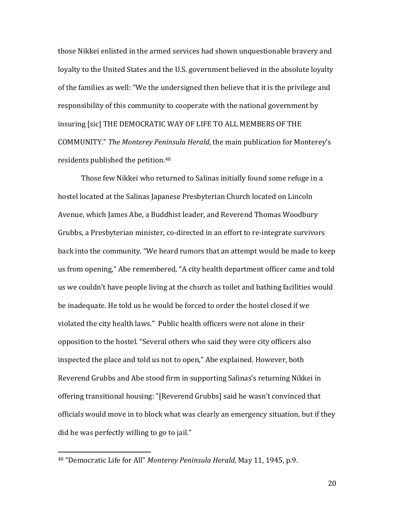those Nikkei enlisted in the armed services had shown unquestionable bravery and loyalty to the United States and the U.S. government believed in the absolute loyalty of the families as well: "We the undersigned then believe that it is the privilege and responsibility of this community to cooperate with the national government by insuring [sic] THE DEMOCRATIC WAY OF LIFE TO ALL MEMBERS OF THE COMMUNITY." *The Monterey Peninsula Herald*, the main publication for Monterey's residents published the petition. [40](#page-19-0)

Those few Nikkei who returned to Salinas initially found some refuge in a hostel located at the Salinas Japanese Presbyterian Church located on Lincoln Avenue, which James Abe, a Buddhist leader, and Reverend Thomas Woodbury Grubbs, a Presbyterian minister, co-directed in an effort to re-integrate survivors back into the community. "We heard rumors that an attempt would be made to keep us from opening," Abe remembered, "A city health department officer came and told us we couldn't have people living at the church as toilet and bathing facilities would be inadequate. He told us he would be forced to order the hostel closed if we violated the city health laws." Public health officers were not alone in their opposition to the hostel. "Several others who said they were city officers also inspected the place and told us not to open," Abe explained. However, both Reverend Grubbs and Abe stood firm in supporting Salinas's returning Nikkei in offering transitional housing: "[Reverend Grubbs] said he wasn't convinced that officials would move in to block what was clearly an emergency situation, but if they did he was perfectly willing to go to jail."

<span id="page-19-0"></span> <sup>40</sup> "Democratic Life for All" *Monterey Peninsula Herald*, May 11, 1945, p.9.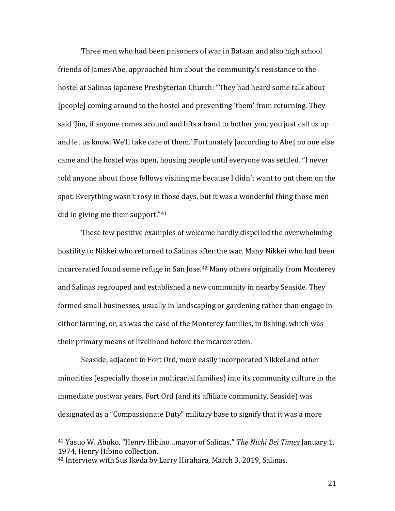Three men who had been prisoners of war in Bataan and also high school friends of James Abe, approached him about the community's resistance to the hostel at Salinas Japanese Presbyterian Church: "They had heard some talk about [people] coming around to the hostel and preventing 'them' from returning. They said 'Jim, if anyone comes around and lifts a hand to bother you, you just call us up and let us know. We'll take care of them.' Fortunately [according to Abe] no one else came and the hostel was open, housing people until everyone was settled. "I never told anyone about those fellows visiting me because I didn't want to put them on the spot. Everything wasn't rosy in those days, but it was a wonderful thing those men did in giving me their support."[41](#page-20-0)

These few positive examples of welcome hardly dispelled the overwhelming hostility to Nikkei who returned to Salinas after the war. Many Nikkei who had been incarcerated found some refuge in San Jose.<sup>[42](#page-20-1)</sup> Many others originally from Monterey and Salinas regrouped and established a new community in nearby Seaside. They formed small businesses, usually in landscaping or gardening rather than engage in either farming, or, as was the case of the Monterey families, in fishing, which was their primary means of livelihood before the incarceration.

Seaside, adjacent to Fort Ord, more easily incorporated Nikkei and other minorities (especially those in multiracial families) into its community culture in the immediate postwar years. Fort Ord (and its affiliate community, Seaside) was designated as a "Compassionate Duty" military base to signify that it was a more

<span id="page-20-0"></span> <sup>41</sup> Yasuo W. Abuko, "Henry Hibino…mayor of Salinas," *The Nichi Bei Times* January 1, 1974*,* Henry Hibino collection.

<span id="page-20-1"></span><sup>42</sup> Interview with Sus Ikeda by Larry Hirahara, March 3, 2019, Salinas.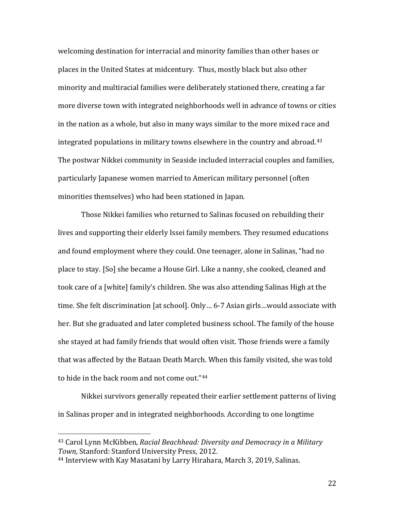welcoming destination for interracial and minority families than other bases or places in the United States at midcentury. Thus, mostly black but also other minority and multiracial families were deliberately stationed there, creating a far more diverse town with integrated neighborhoods well in advance of towns or cities in the nation as a whole, but also in many ways similar to the more mixed race and integrated populations in military towns elsewhere in the country and abroad.[43](#page-21-0) The postwar Nikkei community in Seaside included interracial couples and families, particularly Japanese women married to American military personnel (often minorities themselves) who had been stationed in Japan.

Those Nikkei families who returned to Salinas focused on rebuilding their lives and supporting their elderly Issei family members. They resumed educations and found employment where they could. One teenager, alone in Salinas, "had no place to stay. [So] she became a House Girl. Like a nanny, she cooked, cleaned and took care of a [white] family's children. She was also attending Salinas High at the time. She felt discrimination [at school]. Only… 6-7 Asian girls…would associate with her. But she graduated and later completed business school. The family of the house she stayed at had family friends that would often visit. Those friends were a family that was affected by the Bataan Death March. When this family visited, she was told to hide in the back room and not come out."[44](#page-21-1)

Nikkei survivors generally repeated their earlier settlement patterns of living in Salinas proper and in integrated neighborhoods. According to one longtime

<span id="page-21-0"></span> <sup>43</sup> Carol Lynn McKibben, *Racial Beachhead: Diversity and Democracy in a Military Town*, Stanford: Stanford University Press, 2012.

<span id="page-21-1"></span><sup>44</sup> Interview with Kay Masatani by Larry Hirahara, March 3, 2019, Salinas.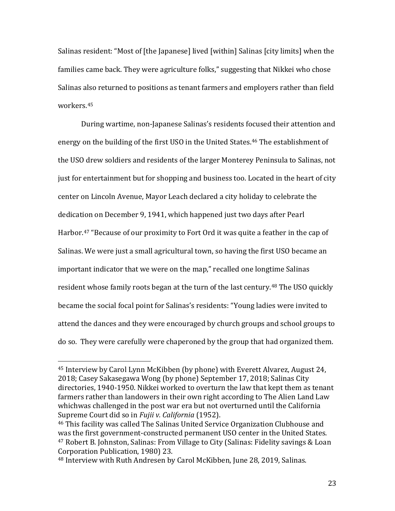Salinas resident: "Most of [the Japanese] lived [within] Salinas [city limits] when the families came back. They were agriculture folks," suggesting that Nikkei who chose Salinas also returned to positions as tenant farmers and employers rather than field workers.[45](#page-22-0)

During wartime, non-Japanese Salinas's residents focused their attention and energy on the building of the first USO in the United States.<sup>46</sup> The establishment of the USO drew soldiers and residents of the larger Monterey Peninsula to Salinas, not just for entertainment but for shopping and business too. Located in the heart of city center on Lincoln Avenue, Mayor Leach declared a city holiday to celebrate the dedication on December 9, 1941, which happened just two days after Pearl Harbor.<sup>[47](#page-22-2)</sup> "Because of our proximity to Fort Ord it was quite a feather in the cap of Salinas. We were just a small agricultural town, so having the first USO became an important indicator that we were on the map," recalled one longtime Salinas resident whose family roots began at the turn of the last century.<sup>[48](#page-22-3)</sup> The USO quickly became the social focal point for Salinas's residents: "Young ladies were invited to attend the dances and they were encouraged by church groups and school groups to do so. They were carefully were chaperoned by the group that had organized them.

<span id="page-22-0"></span> <sup>45</sup> Interview by Carol Lynn McKibben (by phone) with Everett Alvarez, August 24, 2018; Casey Sakasegawa Wong (by phone) September 17, 2018; Salinas City directories, 1940-1950. Nikkei worked to overturn the law that kept them as tenant farmers rather than landowers in their own right according to The Alien Land Law whichwas challenged in the post war era but not overturned until the California Supreme Court did so in *Fujii v. California* (1952).

<span id="page-22-2"></span><span id="page-22-1"></span><sup>46</sup> This facility was called The Salinas United Service Organization Clubhouse and was the first government-constructed permanent USO center in the United States. <sup>47</sup> Robert B. Johnston, Salinas: From Village to City (Salinas: Fidelity savings & Loan Corporation Publication, 1980) 23.

<span id="page-22-3"></span><sup>48</sup> Interview with Ruth Andresen by Carol McKibben, June 28, 2019, Salinas.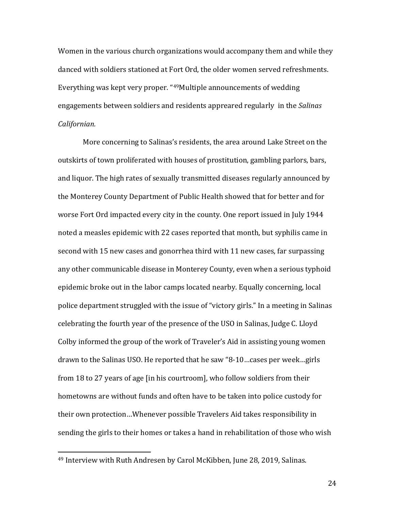Women in the various church organizations would accompany them and while they danced with soldiers stationed at Fort Ord, the older women served refreshments. Everything was kept very proper. "[49M](#page-23-0)ultiple announcements of wedding engagements between soldiers and residents appreared regularly in the *Salinas Californian.*

More concerning to Salinas's residents, the area around Lake Street on the outskirts of town proliferated with houses of prostitution, gambling parlors, bars, and liquor. The high rates of sexually transmitted diseases regularly announced by the Monterey County Department of Public Health showed that for better and for worse Fort Ord impacted every city in the county. One report issued in July 1944 noted a measles epidemic with 22 cases reported that month, but syphilis came in second with 15 new cases and gonorrhea third with 11 new cases, far surpassing any other communicable disease in Monterey County, even when a serious typhoid epidemic broke out in the labor camps located nearby. Equally concerning, local police department struggled with the issue of "victory girls." In a meeting in Salinas celebrating the fourth year of the presence of the USO in Salinas, Judge C. Lloyd Colby informed the group of the work of Traveler's Aid in assisting young women drawn to the Salinas USO. He reported that he saw "8-10…cases per week…girls from 18 to 27 years of age [in his courtroom], who follow soldiers from their hometowns are without funds and often have to be taken into police custody for their own protection…Whenever possible Travelers Aid takes responsibility in sending the girls to their homes or takes a hand in rehabilitation of those who wish

<span id="page-23-0"></span> <sup>49</sup> Interview with Ruth Andresen by Carol McKibben, June 28, 2019, Salinas.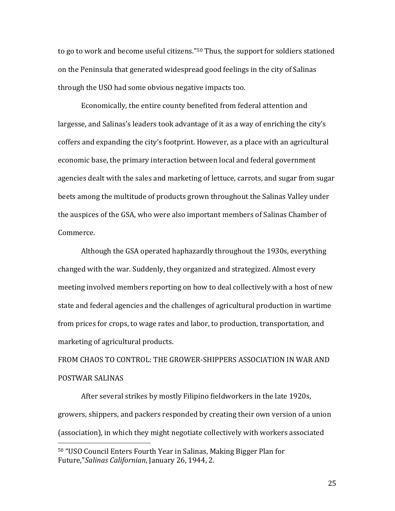to go to work and become useful citizens."[50](#page-24-0) Thus, the support for soldiers stationed on the Peninsula that generated widespread good feelings in the city of Salinas through the USO had some obvious negative impacts too.

Economically, the entire county benefited from federal attention and largesse, and Salinas's leaders took advantage of it as a way of enriching the city's coffers and expanding the city's footprint. However, as a place with an agricultural economic base, the primary interaction between local and federal government agencies dealt with the sales and marketing of lettuce, carrots, and sugar from sugar beets among the multitude of products grown throughout the Salinas Valley under the auspices of the GSA, who were also important members of Salinas Chamber of Commerce.

Although the GSA operated haphazardly throughout the 1930s, everything changed with the war. Suddenly, they organized and strategized. Almost every meeting involved members reporting on how to deal collectively with a host of new state and federal agencies and the challenges of agricultural production in wartime from prices for crops, to wage rates and labor, to production, transportation, and marketing of agricultural products.

FROM CHAOS TO CONTROL: THE GROWER-SHIPPERS ASSOCIATION IN WAR AND POSTWAR SALINAS

 After several strikes by mostly Filipino fieldworkers in the late 1920s, growers, shippers, and packers responded by creating their own version of a union (association), in which they might negotiate collectively with workers associated

<span id="page-24-0"></span> <sup>50</sup> "USO Council Enters Fourth Year in Salinas, Making Bigger Plan for Future,"*Salinas Californian*, January 26, 1944, 2.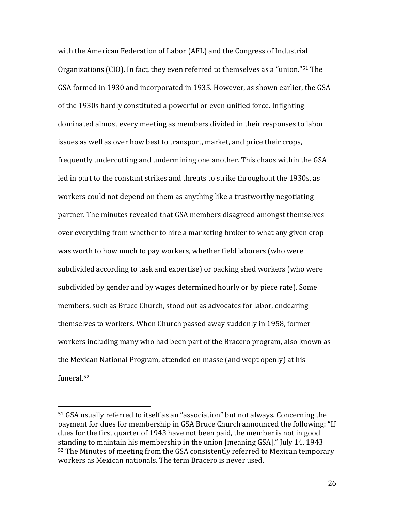with the American Federation of Labor (AFL) and the Congress of Industrial Organizations (CIO). In fact, they even referred to themselves as a "union."[51](#page-25-0) The GSA formed in 1930 and incorporated in 1935. However, as shown earlier, the GSA of the 1930s hardly constituted a powerful or even unified force. Infighting dominated almost every meeting as members divided in their responses to labor issues as well as over how best to transport, market, and price their crops, frequently undercutting and undermining one another. This chaos within the GSA led in part to the constant strikes and threats to strike throughout the 1930s, as workers could not depend on them as anything like a trustworthy negotiating partner. The minutes revealed that GSA members disagreed amongst themselves over everything from whether to hire a marketing broker to what any given crop was worth to how much to pay workers, whether field laborers (who were subdivided according to task and expertise) or packing shed workers (who were subdivided by gender and by wages determined hourly or by piece rate). Some members, such as Bruce Church, stood out as advocates for labor, endearing themselves to workers. When Church passed away suddenly in 1958, former workers including many who had been part of the Bracero program, also known as the Mexican National Program, attended en masse (and wept openly) at his funeral.[52](#page-25-1)

<span id="page-25-1"></span><span id="page-25-0"></span> <sup>51</sup> GSA usually referred to itself as an "association" but not always. Concerning the payment for dues for membership in GSA Bruce Church announced the following: "If dues for the first quarter of 1943 have not been paid, the member is not in good standing to maintain his membership in the union [meaning GSA]." July 14, 1943 <sup>52</sup> The Minutes of meeting from the GSA consistently referred to Mexican temporary workers as Mexican nationals. The term Bracero is never used.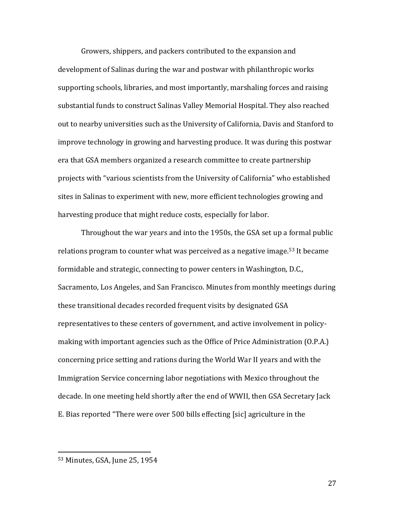Growers, shippers, and packers contributed to the expansion and development of Salinas during the war and postwar with philanthropic works supporting schools, libraries, and most importantly, marshaling forces and raising substantial funds to construct Salinas Valley Memorial Hospital. They also reached out to nearby universities such as the University of California, Davis and Stanford to improve technology in growing and harvesting produce. It was during this postwar era that GSA members organized a research committee to create partnership projects with "various scientists from the University of California" who established sites in Salinas to experiment with new, more efficient technologies growing and harvesting produce that might reduce costs, especially for labor.

Throughout the war years and into the 1950s, the GSA set up a formal public relations program to counter what was perceived as a negative image.<sup>[53](#page-26-0)</sup> It became formidable and strategic, connecting to power centers in Washington, D.C., Sacramento, Los Angeles, and San Francisco. Minutes from monthly meetings during these transitional decades recorded frequent visits by designated GSA representatives to these centers of government, and active involvement in policymaking with important agencies such as the Office of Price Administration (O.P.A.) concerning price setting and rations during the World War II years and with the Immigration Service concerning labor negotiations with Mexico throughout the decade. In one meeting held shortly after the end of WWII, then GSA Secretary Jack E. Bias reported "There were over 500 bills effecting [sic] agriculture in the

<span id="page-26-0"></span> <sup>53</sup> Minutes, GSA, June 25, 1954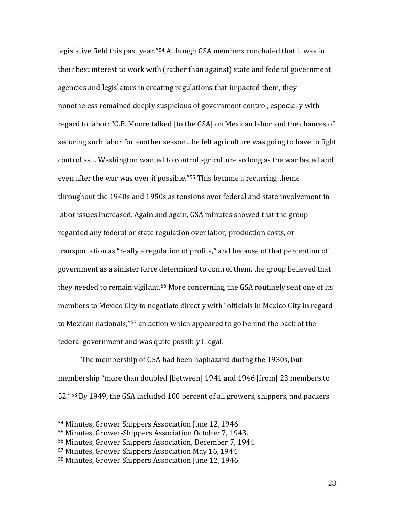legislative field this past year."[54](#page-27-0) Although GSA members concluded that it was in their best interest to work with (rather than against) state and federal government agencies and legislators in creating regulations that impacted them, they nonetheless remained deeply suspicious of government control, especially with regard to labor: "C.B. Moore talked [to the GSA] on Mexican labor and the chances of securing such labor for another season…he felt agriculture was going to have to fight control as… Washington wanted to control agriculture so long as the war lasted and even after the war was over if possible."[55](#page-27-1) This became a recurring theme throughout the 1940s and 1950s as tensions over federal and state involvement in labor issues increased. Again and again, GSA minutes showed that the group regarded any federal or state regulation over labor, production costs, or transportation as "really a regulation of profits," and because of that perception of government as a sinister force determined to control them, the group believed that they needed to remain vigilant.<sup>[56](#page-27-2)</sup> More concerning, the GSA routinely sent one of its members to Mexico City to negotiate directly with "officials in Mexico City in regard to Mexican nationals,"[57](#page-27-3) an action which appeared to go behind the back of the federal government and was quite possibly illegal.

The membership of GSA had been haphazard during the 1930s, but membership "more than doubled [between] 1941 and 1946 [from] 23 members to 52."[58](#page-27-4) By 1949, the GSA included 100 percent of all growers, shippers, and packers

<span id="page-27-0"></span> <sup>54</sup> Minutes, Grower Shippers Association June 12, 1946

<span id="page-27-1"></span><sup>55</sup> Minutes, Grower-Shippers Association October 7, 1943.

<span id="page-27-2"></span><sup>56</sup> Minutes, Grower Shippers Association, December 7, 1944

<span id="page-27-3"></span><sup>57</sup> Minutes, Grower Shippers Association May 16, 1944

<span id="page-27-4"></span><sup>58</sup> Minutes, Grower Shippers Association June 12, 1946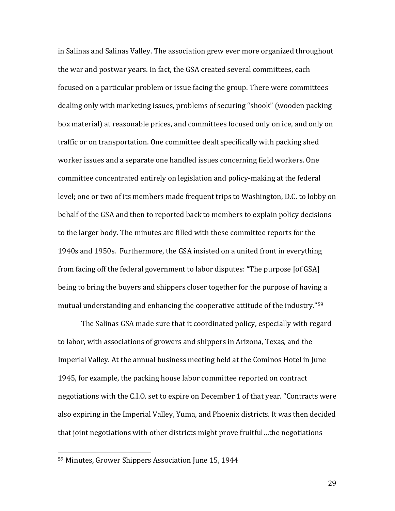in Salinas and Salinas Valley. The association grew ever more organized throughout the war and postwar years. In fact, the GSA created several committees, each focused on a particular problem or issue facing the group. There were committees dealing only with marketing issues, problems of securing "shook" (wooden packing box material) at reasonable prices, and committees focused only on ice, and only on traffic or on transportation. One committee dealt specifically with packing shed worker issues and a separate one handled issues concerning field workers. One committee concentrated entirely on legislation and policy-making at the federal level; one or two of its members made frequent trips to Washington, D.C. to lobby on behalf of the GSA and then to reported back to members to explain policy decisions to the larger body. The minutes are filled with these committee reports for the 1940s and 1950s. Furthermore, the GSA insisted on a united front in everything from facing off the federal government to labor disputes: "The purpose [of GSA] being to bring the buyers and shippers closer together for the purpose of having a mutual understanding and enhancing the cooperative attitude of the industry."[59](#page-28-0)

The Salinas GSA made sure that it coordinated policy, especially with regard to labor, with associations of growers and shippers in Arizona, Texas, and the Imperial Valley. At the annual business meeting held at the Cominos Hotel in June 1945, for example, the packing house labor committee reported on contract negotiations with the C.I.O. set to expire on December 1 of that year. "Contracts were also expiring in the Imperial Valley, Yuma, and Phoenix districts. It was then decided that joint negotiations with other districts might prove fruitful…the negotiations

<span id="page-28-0"></span> <sup>59</sup> Minutes, Grower Shippers Association June 15, 1944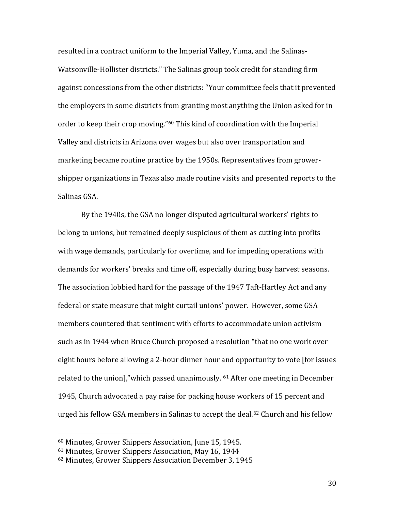resulted in a contract uniform to the Imperial Valley, Yuma, and the Salinas-Watsonville-Hollister districts." The Salinas group took credit for standing firm against concessions from the other districts: "Your committee feels that it prevented the employers in some districts from granting most anything the Union asked for in order to keep their crop moving."[60](#page-29-0) This kind of coordination with the Imperial Valley and districts in Arizona over wages but also over transportation and marketing became routine practice by the 1950s. Representatives from growershipper organizations in Texas also made routine visits and presented reports to the Salinas GSA.

By the 1940s, the GSA no longer disputed agricultural workers' rights to belong to unions, but remained deeply suspicious of them as cutting into profits with wage demands, particularly for overtime, and for impeding operations with demands for workers' breaks and time off, especially during busy harvest seasons. The association lobbied hard for the passage of the 1947 Taft-Hartley Act and any federal or state measure that might curtail unions' power. However, some GSA members countered that sentiment with efforts to accommodate union activism such as in 1944 when Bruce Church proposed a resolution "that no one work over eight hours before allowing a 2-hour dinner hour and opportunity to vote [for issues related to the union],"which passed unanimously. [61](#page-29-1) After one meeting in December 1945, Church advocated a pay raise for packing house workers of 15 percent and urged his fellow GSA members in Salinas to accept the deal.<sup>[62](#page-29-2)</sup> Church and his fellow

<span id="page-29-0"></span> <sup>60</sup> Minutes, Grower Shippers Association, June 15, 1945.

<span id="page-29-1"></span><sup>61</sup> Minutes, Grower Shippers Association, May 16, 1944

<span id="page-29-2"></span><sup>62</sup> Minutes, Grower Shippers Association December 3, 1945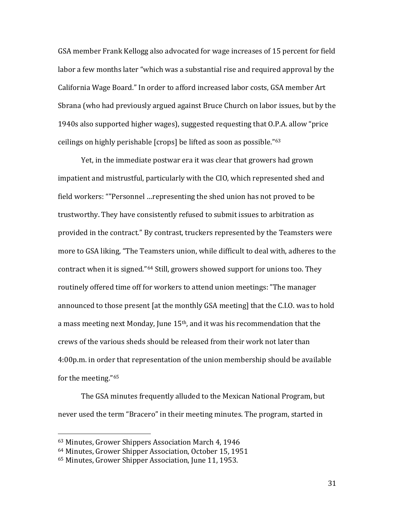GSA member Frank Kellogg also advocated for wage increases of 15 percent for field labor a few months later "which was a substantial rise and required approval by the California Wage Board." In order to afford increased labor costs, GSA member Art Sbrana (who had previously argued against Bruce Church on labor issues, but by the 1940s also supported higher wages), suggested requesting that O.P.A. allow "price ceilings on highly perishable [crops] be lifted as soon as possible."[63](#page-30-0)

Yet, in the immediate postwar era it was clear that growers had grown impatient and mistrustful, particularly with the CIO, which represented shed and field workers: ""Personnel …representing the shed union has not proved to be trustworthy. They have consistently refused to submit issues to arbitration as provided in the contract." By contrast, truckers represented by the Teamsters were more to GSA liking, "The Teamsters union, while difficult to deal with, adheres to the contract when it is signed."[64](#page-30-1) Still, growers showed support for unions too. They routinely offered time off for workers to attend union meetings: "The manager announced to those present [at the monthly GSA meeting] that the C.I.O. was to hold a mass meeting next Monday, June 15th, and it was his recommendation that the crews of the various sheds should be released from their work not later than 4:00p.m. in order that representation of the union membership should be available for the meeting."[65](#page-30-2)

The GSA minutes frequently alluded to the Mexican National Program, but never used the term "Bracero" in their meeting minutes. The program, started in

<span id="page-30-0"></span> <sup>63</sup> Minutes, Grower Shippers Association March 4, 1946

<span id="page-30-1"></span><sup>64</sup> Minutes, Grower Shipper Association, October 15, 1951

<span id="page-30-2"></span><sup>65</sup> Minutes, Grower Shipper Association, June 11, 1953.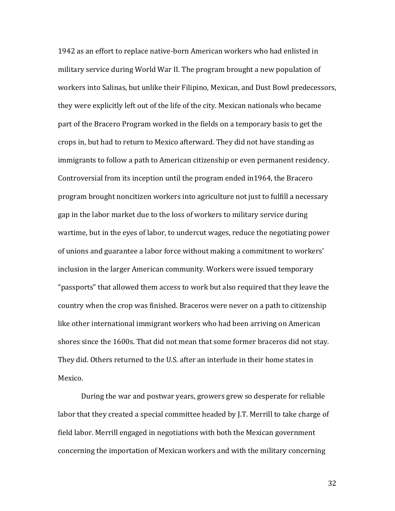1942 as an effort to replace native-born American workers who had enlisted in military service during World War II. The program brought a new population of workers into Salinas, but unlike their Filipino, Mexican, and Dust Bowl predecessors, they were explicitly left out of the life of the city. Mexican nationals who became part of the Bracero Program worked in the fields on a temporary basis to get the crops in, but had to return to Mexico afterward. They did not have standing as immigrants to follow a path to American citizenship or even permanent residency. Controversial from its inception until the program ended in1964, the Bracero program brought noncitizen workers into agriculture not just to fulfill a necessary gap in the labor market due to the loss of workers to military service during wartime, but in the eyes of labor, to undercut wages, reduce the negotiating power of unions and guarantee a labor force without making a commitment to workers' inclusion in the larger American community. Workers were issued temporary "passports" that allowed them access to work but also required that they leave the country when the crop was finished. Braceros were never on a path to citizenship like other international immigrant workers who had been arriving on American shores since the 1600s. That did not mean that some former braceros did not stay. They did. Others returned to the U.S. after an interlude in their home states in Mexico.

During the war and postwar years, growers grew so desperate for reliable labor that they created a special committee headed by J.T. Merrill to take charge of field labor. Merrill engaged in negotiations with both the Mexican government concerning the importation of Mexican workers and with the military concerning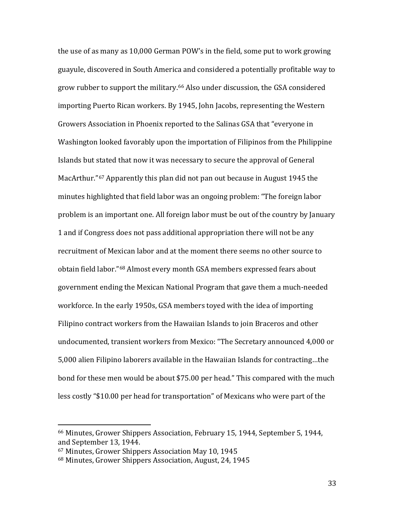the use of as many as 10,000 German POW's in the field, some put to work growing guayule, discovered in South America and considered a potentially profitable way to grow rubber to support the military.[66](#page-32-0) Also under discussion, the GSA considered importing Puerto Rican workers. By 1945, John Jacobs, representing the Western Growers Association in Phoenix reported to the Salinas GSA that "everyone in Washington looked favorably upon the importation of Filipinos from the Philippine Islands but stated that now it was necessary to secure the approval of General MacArthur."[67](#page-32-1) Apparently this plan did not pan out because in August 1945 the minutes highlighted that field labor was an ongoing problem: "The foreign labor problem is an important one. All foreign labor must be out of the country by January 1 and if Congress does not pass additional appropriation there will not be any recruitment of Mexican labor and at the moment there seems no other source to obtain field labor."[68](#page-32-2) Almost every month GSA members expressed fears about government ending the Mexican National Program that gave them a much-needed workforce. In the early 1950s, GSA members toyed with the idea of importing Filipino contract workers from the Hawaiian Islands to join Braceros and other undocumented, transient workers from Mexico: "The Secretary announced 4,000 or 5,000 alien Filipino laborers available in the Hawaiian Islands for contracting…the bond for these men would be about \$75.00 per head." This compared with the much less costly "\$10.00 per head for transportation" of Mexicans who were part of the

<span id="page-32-0"></span> <sup>66</sup> Minutes, Grower Shippers Association, February 15, 1944, September 5, 1944, and September 13, 1944.

<span id="page-32-1"></span><sup>67</sup> Minutes, Grower Shippers Association May 10, 1945

<span id="page-32-2"></span><sup>68</sup> Minutes, Grower Shippers Association, August, 24, 1945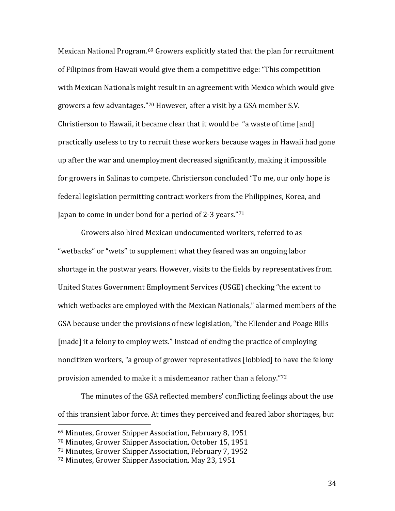Mexican National Program.[69](#page-33-0) Growers explicitly stated that the plan for recruitment of Filipinos from Hawaii would give them a competitive edge: "This competition with Mexican Nationals might result in an agreement with Mexico which would give growers a few advantages."[70](#page-33-1) However, after a visit by a GSA member S.V. Christierson to Hawaii, it became clear that it would be "a waste of time [and] practically useless to try to recruit these workers because wages in Hawaii had gone up after the war and unemployment decreased significantly, making it impossible for growers in Salinas to compete. Christierson concluded "To me, our only hope is federal legislation permitting contract workers from the Philippines, Korea, and Japan to come in under bond for a period of 2-3 years."<sup>[71](#page-33-2)</sup>

Growers also hired Mexican undocumented workers, referred to as "wetbacks" or "wets" to supplement what they feared was an ongoing labor shortage in the postwar years. However, visits to the fields by representatives from United States Government Employment Services (USGE) checking "the extent to which wetbacks are employed with the Mexican Nationals," alarmed members of the GSA because under the provisions of new legislation, "the Ellender and Poage Bills [made] it a felony to employ wets." Instead of ending the practice of employing noncitizen workers, "a group of grower representatives [lobbied] to have the felony provision amended to make it a misdemeanor rather than a felony."[72](#page-33-3)

The minutes of the GSA reflected members' conflicting feelings about the use of this transient labor force. At times they perceived and feared labor shortages, but

<span id="page-33-0"></span> <sup>69</sup> Minutes, Grower Shipper Association, February 8, 1951

<span id="page-33-1"></span><sup>70</sup> Minutes, Grower Shipper Association, October 15, 1951

<span id="page-33-2"></span><sup>71</sup> Minutes, Grower Shipper Association, February 7, 1952

<span id="page-33-3"></span><sup>72</sup> Minutes, Grower Shipper Association, May 23, 1951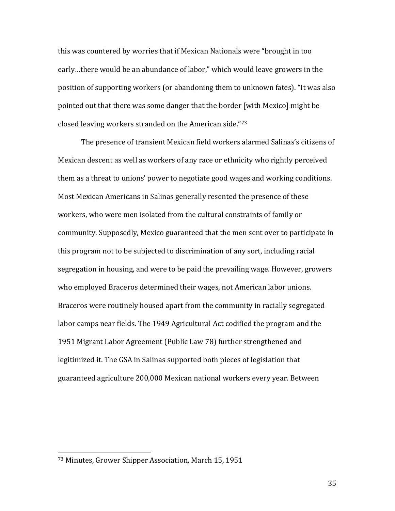this was countered by worries that if Mexican Nationals were "brought in too early…there would be an abundance of labor," which would leave growers in the position of supporting workers (or abandoning them to unknown fates). "It was also pointed out that there was some danger that the border [with Mexico] might be closed leaving workers stranded on the American side."[73](#page-34-0)

The presence of transient Mexican field workers alarmed Salinas's citizens of Mexican descent as well as workers of any race or ethnicity who rightly perceived them as a threat to unions' power to negotiate good wages and working conditions. Most Mexican Americans in Salinas generally resented the presence of these workers, who were men isolated from the cultural constraints of family or community. Supposedly, Mexico guaranteed that the men sent over to participate in this program not to be subjected to discrimination of any sort, including racial segregation in housing, and were to be paid the prevailing wage. However, growers who employed Braceros determined their wages, not American labor unions. Braceros were routinely housed apart from the community in racially segregated labor camps near fields. The 1949 Agricultural Act codified the program and the 1951 Migrant Labor Agreement (Public Law 78) further strengthened and legitimized it. The GSA in Salinas supported both pieces of legislation that guaranteed agriculture 200,000 Mexican national workers every year. Between

<span id="page-34-0"></span> <sup>73</sup> Minutes, Grower Shipper Association, March 15, 1951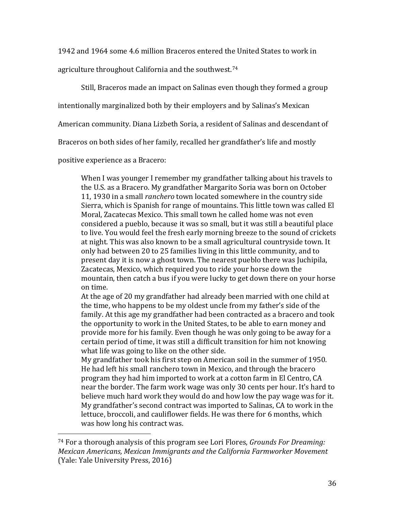1942 and 1964 some 4.6 million Braceros entered the United States to work in

agriculture throughout California and the southwest.[74](#page-35-0)

Still, Braceros made an impact on Salinas even though they formed a group

intentionally marginalized both by their employers and by Salinas's Mexican

American community. Diana Lizbeth Soria, a resident of Salinas and descendant of

Braceros on both sides of her family, recalled her grandfather's life and mostly

positive experience as a Bracero:

When I was younger I remember my grandfather talking about his travels to the U.S. as a Bracero. My grandfather Margarito Soria was born on October 11, 1930 in a small *ranchero* town located somewhere in the country side Sierra, which is Spanish for range of mountains. This little town was called El Moral, Zacatecas Mexico. This small town he called home was not even considered a pueblo, because it was so small, but it was still a beautiful place to live. You would feel the fresh early morning breeze to the sound of crickets at night. This was also known to be a small agricultural countryside town. It only had between 20 to 25 families living in this little community, and to present day it is now a ghost town. The nearest pueblo there was Juchipila, Zacatecas, Mexico, which required you to ride your horse down the mountain, then catch a bus if you were lucky to get down there on your horse on time.

At the age of 20 my grandfather had already been married with one child at the time, who happens to be my oldest uncle from my father's side of the family. At this age my grandfather had been contracted as a bracero and took the opportunity to work in the United States, to be able to earn money and provide more for his family. Even though he was only going to be away for a certain period of time, it was still a difficult transition for him not knowing what life was going to like on the other side.

My grandfather took his first step on American soil in the summer of 1950. He had left his small ranchero town in Mexico, and through the bracero program they had him imported to work at a cotton farm in El Centro, CA near the border. The farm work wage was only 30 cents per hour. It's hard to believe much hard work they would do and how low the pay wage was for it. My grandfather's second contract was imported to Salinas, CA to work in the lettuce, broccoli, and cauliflower fields. He was there for 6 months, which was how long his contract was.

<span id="page-35-0"></span> <sup>74</sup> For a thorough analysis of this program see Lori Flores, *Grounds For Dreaming: Mexican Americans, Mexican Immigrants and the California Farmworker Movement* (Yale: Yale University Press, 2016)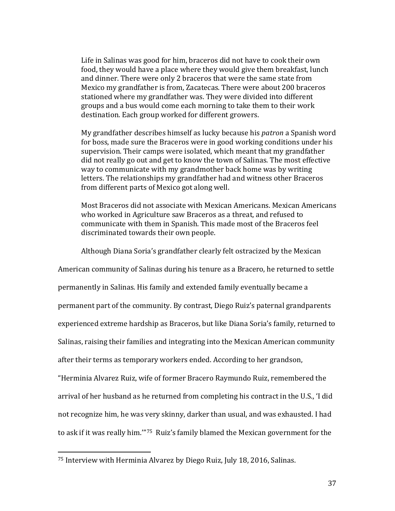Life in Salinas was good for him, braceros did not have to cook their own food, they would have a place where they would give them breakfast, lunch and dinner. There were only 2 braceros that were the same state from Mexico my grandfather is from, Zacatecas. There were about 200 braceros stationed where my grandfather was. They were divided into different groups and a bus would come each morning to take them to their work destination. Each group worked for different growers.

My grandfather describes himself as lucky because his *patron* a Spanish word for boss, made sure the Braceros were in good working conditions under his supervision. Their camps were isolated, which meant that my grandfather did not really go out and get to know the town of Salinas. The most effective way to communicate with my grandmother back home was by writing letters. The relationships my grandfather had and witness other Braceros from different parts of Mexico got along well.

Most Braceros did not associate with Mexican Americans. Mexican Americans who worked in Agriculture saw Braceros as a threat, and refused to communicate with them in Spanish. This made most of the Braceros feel discriminated towards their own people.

Although Diana Soria's grandfather clearly felt ostracized by the Mexican

American community of Salinas during his tenure as a Bracero, he returned to settle

permanently in Salinas. His family and extended family eventually became a

permanent part of the community. By contrast, Diego Ruiz's paternal grandparents

experienced extreme hardship as Braceros, but like Diana Soria's family, returned to

Salinas, raising their families and integrating into the Mexican American community

after their terms as temporary workers ended. According to her grandson,

"Herminia Alvarez Ruiz, wife of former Bracero Raymundo Ruiz, remembered the arrival of her husband as he returned from completing his contract in the U.S., 'I did not recognize him, he was very skinny, darker than usual, and was exhausted. I had to ask if it was really him.'"[75](#page-36-0) Ruiz's family blamed the Mexican government for the

<span id="page-36-0"></span> <sup>75</sup> Interview with Herminia Alvarez by Diego Ruiz, July 18, 2016, Salinas.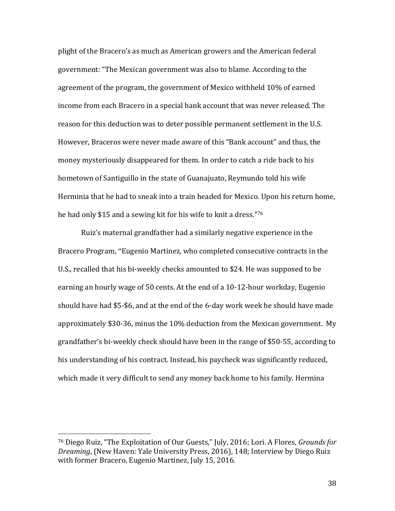plight of the Bracero's as much as American growers and the American federal government: "The Mexican government was also to blame. According to the agreement of the program, the government of Mexico withheld 10% of earned income from each Bracero in a special bank account that was never released. The reason for this deduction was to deter possible permanent settlement in the U.S. However, Braceros were never made aware of this "Bank account" and thus, the money mysteriously disappeared for them. In order to catch a ride back to his hometown of Santiguillo in the state of Guanajuato, Reymundo told his wife Herminia that he had to sneak into a train headed for Mexico. Upon his return home, he had only \$15 and a sewing kit for his wife to knit a dress."[76](#page-37-0)

Ruiz's maternal grandfather had a similarly negative experience in the Bracero Program, "Eugenio Martinez, who completed consecutive contracts in the U.S., recalled that his bi-weekly checks amounted to \$24. He was supposed to be earning an hourly wage of 50 cents. At the end of a 10-12-hour workday, Eugenio should have had \$5-\$6, and at the end of the 6-day work week he should have made approximately \$30-36, minus the 10% deduction from the Mexican government. My grandfather's bi-weekly check should have been in the range of \$50-55, according to his understanding of his contract. Instead, his paycheck was significantly reduced, which made it very difficult to send any money back home to his family. Hermina

<span id="page-37-0"></span> <sup>76</sup> Diego Ruiz, "The Exploitation of Our Guests," July, 2016; Lori. A Flores, *Grounds for Dreaming*, (New Haven*:* Yale University Press, 2016), 148; Interview by Diego Ruiz with former Bracero, Eugenio Martinez, July 15, 2016.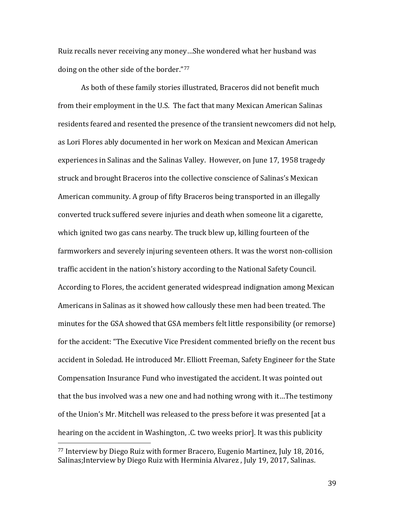Ruiz recalls never receiving any money…She wondered what her husband was doing on the other side of the border."[77](#page-38-0)

As both of these family stories illustrated, Braceros did not benefit much from their employment in the U.S. The fact that many Mexican American Salinas residents feared and resented the presence of the transient newcomers did not help, as Lori Flores ably documented in her work on Mexican and Mexican American experiences in Salinas and the Salinas Valley. However, on June 17, 1958 tragedy struck and brought Braceros into the collective conscience of Salinas's Mexican American community. A group of fifty Braceros being transported in an illegally converted truck suffered severe injuries and death when someone lit a cigarette, which ignited two gas cans nearby. The truck blew up, killing fourteen of the farmworkers and severely injuring seventeen others. It was the worst non-collision traffic accident in the nation's history according to the National Safety Council. According to Flores, the accident generated widespread indignation among Mexican Americans in Salinas as it showed how callously these men had been treated. The minutes for the GSA showed that GSA members felt little responsibility (or remorse) for the accident: "The Executive Vice President commented briefly on the recent bus accident in Soledad. He introduced Mr. Elliott Freeman, Safety Engineer for the State Compensation Insurance Fund who investigated the accident. It was pointed out that the bus involved was a new one and had nothing wrong with it…The testimony of the Union's Mr. Mitchell was released to the press before it was presented [at a hearing on the accident in Washington, .C. two weeks prior]. It was this publicity

<span id="page-38-0"></span> <sup>77</sup> Interview by Diego Ruiz with former Bracero, Eugenio Martinez, July 18, 2016, Salinas;Interview by Diego Ruiz with Herminia Alvarez , July 19, 2017, Salinas.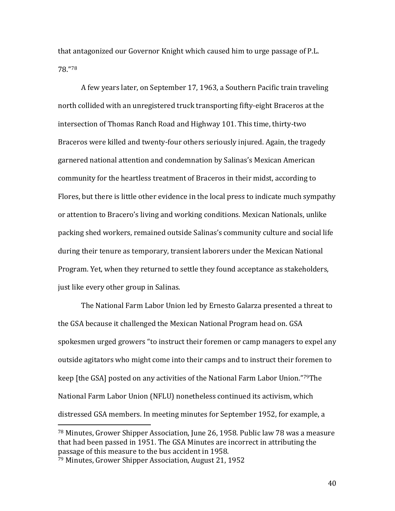that antagonized our Governor Knight which caused him to urge passage of P.L. 78."[78](#page-39-0)

A few years later, on September 17, 1963, a Southern Pacific train traveling north collided with an unregistered truck transporting fifty-eight Braceros at the intersection of Thomas Ranch Road and Highway 101. This time, thirty-two Braceros were killed and twenty-four others seriously injured. Again, the tragedy garnered national attention and condemnation by Salinas's Mexican American community for the heartless treatment of Braceros in their midst, according to Flores, but there is little other evidence in the local press to indicate much sympathy or attention to Bracero's living and working conditions. Mexican Nationals, unlike packing shed workers, remained outside Salinas's community culture and social life during their tenure as temporary, transient laborers under the Mexican National Program. Yet, when they returned to settle they found acceptance as stakeholders, just like every other group in Salinas.

The National Farm Labor Union led by Ernesto Galarza presented a threat to the GSA because it challenged the Mexican National Program head on. GSA spokesmen urged growers "to instruct their foremen or camp managers to expel any outside agitators who might come into their camps and to instruct their foremen to keep [the GSA] posted on any activities of the National Farm Labor Union."[79T](#page-39-1)he National Farm Labor Union (NFLU) nonetheless continued its activism, which distressed GSA members. In meeting minutes for September 1952, for example, a

<span id="page-39-0"></span> <sup>78</sup> Minutes, Grower Shipper Association, June 26, 1958. Public law 78 was a measure that had been passed in 1951. The GSA Minutes are incorrect in attributing the passage of this measure to the bus accident in 1958.

<span id="page-39-1"></span><sup>79</sup> Minutes, Grower Shipper Association, August 21, 1952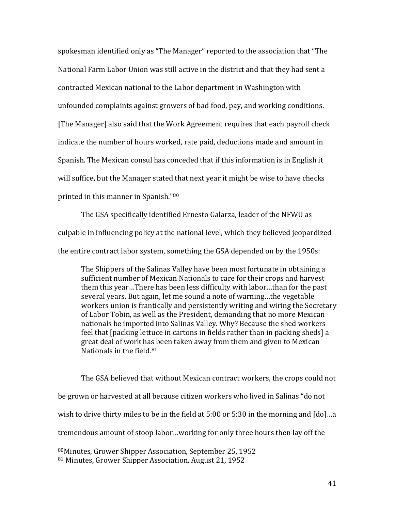spokesman identified only as "The Manager" reported to the association that "The National Farm Labor Union was still active in the district and that they had sent a contracted Mexican national to the Labor department in Washington with unfounded complaints against growers of bad food, pay, and working conditions. [The Manager] also said that the Work Agreement requires that each payroll check indicate the number of hours worked, rate paid, deductions made and amount in Spanish. The Mexican consul has conceded that if this information is in English it will suffice, but the Manager stated that next year it might be wise to have checks printed in this manner in Spanish."[80](#page-40-0)

The GSA specifically identified Ernesto Galarza, leader of the NFWU as culpable in influencing policy at the national level, which they believed jeopardized the entire contract labor system, something the GSA depended on by the 1950s:

The Shippers of the Salinas Valley have been most fortunate in obtaining a sufficient number of Mexican Nationals to care for their crops and harvest them this year…There has been less difficulty with labor…than for the past several years. But again, let me sound a note of warning…the vegetable workers union is frantically and persistently writing and wiring the Secretary of Labor Tobin, as well as the President, demanding that no more Mexican nationals be imported into Salinas Valley. Why? Because the shed workers feel that [packing lettuce in cartons in fields rather than in packing sheds] a great deal of work has been taken away from them and given to Mexican Nationals in the field.[81](#page-40-1)

The GSA believed that without Mexican contract workers, the crops could not be grown or harvested at all because citizen workers who lived in Salinas "do not wish to drive thirty miles to be in the field at 5:00 or 5:30 in the morning and [do]…a tremendous amount of stoop labor…working for only three hours then lay off the

<span id="page-40-0"></span> <sup>80</sup>Minutes, Grower Shipper Association, September 25, 1952

<span id="page-40-1"></span><sup>81</sup> Minutes, Grower Shipper Association, August 21, 1952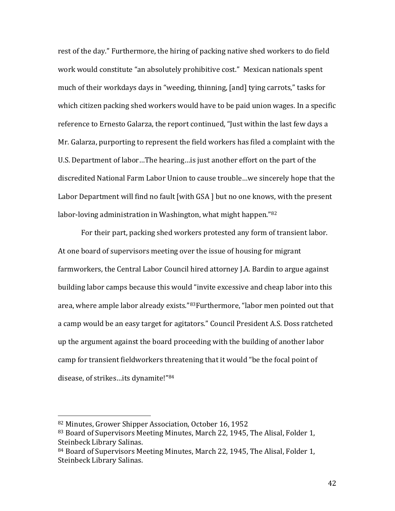rest of the day." Furthermore, the hiring of packing native shed workers to do field work would constitute "an absolutely prohibitive cost." Mexican nationals spent much of their workdays days in "weeding, thinning, [and] tying carrots," tasks for which citizen packing shed workers would have to be paid union wages. In a specific reference to Ernesto Galarza, the report continued, "Just within the last few days a Mr. Galarza, purporting to represent the field workers has filed a complaint with the U.S. Department of labor…The hearing…is just another effort on the part of the discredited National Farm Labor Union to cause trouble…we sincerely hope that the Labor Department will find no fault [with GSA] but no one knows, with the present labor-loving administration in Washington, what might happen."[82](#page-41-0)

For their part, packing shed workers protested any form of transient labor. At one board of supervisors meeting over the issue of housing for migrant farmworkers, the Central Labor Council hired attorney J.A. Bardin to argue against building labor camps because this would "invite excessive and cheap labor into this area, where ample labor already exists."[83F](#page-41-1)urthermore, "labor men pointed out that a camp would be an easy target for agitators." Council President A.S. Doss ratcheted up the argument against the board proceeding with the building of another labor camp for transient fieldworkers threatening that it would "be the focal point of disease, of strikes…its dynamite!"[84](#page-41-2)

<span id="page-41-0"></span><sup>82</sup> Minutes, Grower Shipper Association, October 16, 1952

<span id="page-41-1"></span><sup>83</sup> Board of Supervisors Meeting Minutes, March 22, 1945, The Alisal, Folder 1, Steinbeck Library Salinas.

<span id="page-41-2"></span><sup>84</sup> Board of Supervisors Meeting Minutes, March 22, 1945, The Alisal, Folder 1, Steinbeck Library Salinas.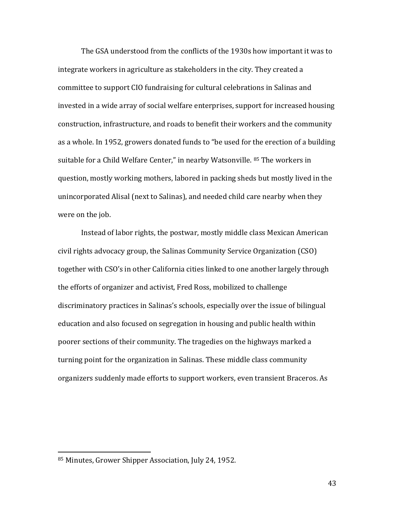The GSA understood from the conflicts of the 1930s how important it was to integrate workers in agriculture as stakeholders in the city. They created a committee to support CIO fundraising for cultural celebrations in Salinas and invested in a wide array of social welfare enterprises, support for increased housing construction, infrastructure, and roads to benefit their workers and the community as a whole. In 1952, growers donated funds to "be used for the erection of a building suitable for a Child Welfare Center," in nearby Watsonville. [85](#page-42-0) The workers in question, mostly working mothers, labored in packing sheds but mostly lived in the unincorporated Alisal (next to Salinas), and needed child care nearby when they were on the job.

Instead of labor rights, the postwar, mostly middle class Mexican American civil rights advocacy group, the Salinas Community Service Organization (CSO) together with CSO's in other California cities linked to one another largely through the efforts of organizer and activist, Fred Ross, mobilized to challenge discriminatory practices in Salinas's schools, especially over the issue of bilingual education and also focused on segregation in housing and public health within poorer sections of their community. The tragedies on the highways marked a turning point for the organization in Salinas. These middle class community organizers suddenly made efforts to support workers, even transient Braceros. As

<span id="page-42-0"></span> <sup>85</sup> Minutes, Grower Shipper Association, July 24, 1952.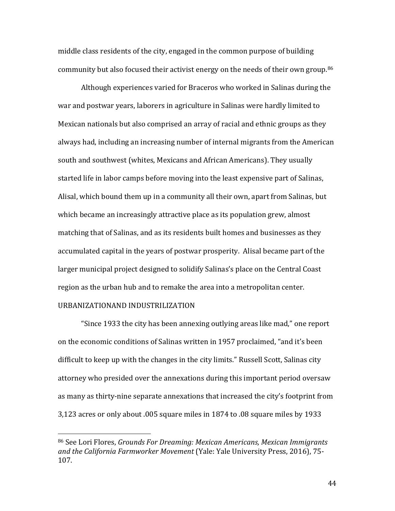middle class residents of the city, engaged in the common purpose of building community but also focused their activist energy on the needs of their own group.[86](#page-43-0)

Although experiences varied for Braceros who worked in Salinas during the war and postwar years, laborers in agriculture in Salinas were hardly limited to Mexican nationals but also comprised an array of racial and ethnic groups as they always had, including an increasing number of internal migrants from the American south and southwest (whites, Mexicans and African Americans). They usually started life in labor camps before moving into the least expensive part of Salinas, Alisal, which bound them up in a community all their own, apart from Salinas, but which became an increasingly attractive place as its population grew, almost matching that of Salinas, and as its residents built homes and businesses as they accumulated capital in the years of postwar prosperity. Alisal became part of the larger municipal project designed to solidify Salinas's place on the Central Coast region as the urban hub and to remake the area into a metropolitan center. URBANIZATIONAND INDUSTRILIZATION

"Since 1933 the city has been annexing outlying areas like mad," one report on the economic conditions of Salinas written in 1957 proclaimed, "and it's been difficult to keep up with the changes in the city limits." Russell Scott, Salinas city attorney who presided over the annexations during this important period oversaw as many as thirty-nine separate annexations that increased the city's footprint from 3,123 acres or only about .005 square miles in 1874 to .08 square miles by 1933

<span id="page-43-0"></span> <sup>86</sup> See Lori Flores, *Grounds For Dreaming: Mexican Americans, Mexican Immigrants and the California Farmworker Movement* (Yale: Yale University Press, 2016), 75- 107.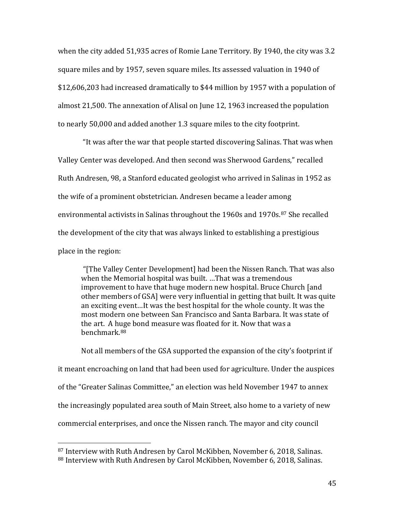when the city added 51,935 acres of Romie Lane Territory. By 1940, the city was 3.2 square miles and by 1957, seven square miles. Its assessed valuation in 1940 of \$12,606,203 had increased dramatically to \$44 million by 1957 with a population of almost 21,500. The annexation of Alisal on June 12, 1963 increased the population to nearly 50,000 and added another 1.3 square miles to the city footprint.

"It was after the war that people started discovering Salinas. That was when Valley Center was developed. And then second was Sherwood Gardens," recalled Ruth Andresen, 98, a Stanford educated geologist who arrived in Salinas in 1952 as the wife of a prominent obstetrician. Andresen became a leader among environmental activists in Salinas throughout the 1960s and 1970s.<sup>[87](#page-44-0)</sup> She recalled the development of the city that was always linked to establishing a prestigious place in the region:

"[The Valley Center Development] had been the Nissen Ranch. That was also when the Memorial hospital was built. …That was a tremendous improvement to have that huge modern new hospital. Bruce Church [and other members of GSA] were very influential in getting that built. It was quite an exciting event…It was the best hospital for the whole county. It was the most modern one between San Francisco and Santa Barbara. It was state of the art. A huge bond measure was floated for it. Now that was a benchmark.[88](#page-44-1)

Not all members of the GSA supported the expansion of the city's footprint if it meant encroaching on land that had been used for agriculture. Under the auspices of the "Greater Salinas Committee," an election was held November 1947 to annex the increasingly populated area south of Main Street, also home to a variety of new commercial enterprises, and once the Nissen ranch. The mayor and city council

<span id="page-44-1"></span><span id="page-44-0"></span> <sup>87</sup> Interview with Ruth Andresen by Carol McKibben, November 6, 2018, Salinas. 88 Interview with Ruth Andresen by Carol McKibben, November 6, 2018, Salinas.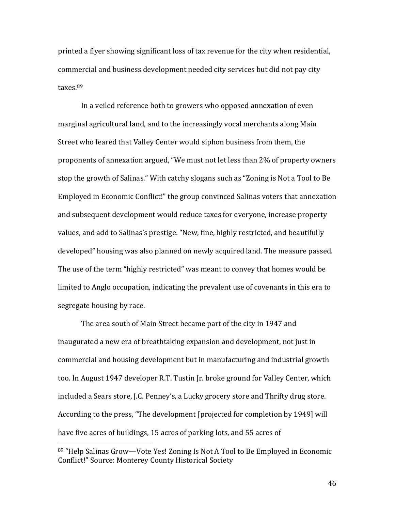printed a flyer showing significant loss of tax revenue for the city when residential, commercial and business development needed city services but did not pay city taxes.[89](#page-45-0)

In a veiled reference both to growers who opposed annexation of even marginal agricultural land, and to the increasingly vocal merchants along Main Street who feared that Valley Center would siphon business from them, the proponents of annexation argued, "We must not let less than 2% of property owners stop the growth of Salinas." With catchy slogans such as "Zoning is Not a Tool to Be Employed in Economic Conflict!" the group convinced Salinas voters that annexation and subsequent development would reduce taxes for everyone, increase property values, and add to Salinas's prestige. "New, fine, highly restricted, and beautifully developed" housing was also planned on newly acquired land. The measure passed. The use of the term "highly restricted" was meant to convey that homes would be limited to Anglo occupation, indicating the prevalent use of covenants in this era to segregate housing by race.

The area south of Main Street became part of the city in 1947 and inaugurated a new era of breathtaking expansion and development, not just in commercial and housing development but in manufacturing and industrial growth too. In August 1947 developer R.T. Tustin Jr. broke ground for Valley Center, which included a Sears store, J.C. Penney's, a Lucky grocery store and Thrifty drug store. According to the press, "The development [projected for completion by 1949] will have five acres of buildings, 15 acres of parking lots, and 55 acres of

<span id="page-45-0"></span> <sup>89</sup> "Help Salinas Grow—Vote Yes! Zoning Is Not A Tool to Be Employed in Economic Conflict!" Source: Monterey County Historical Society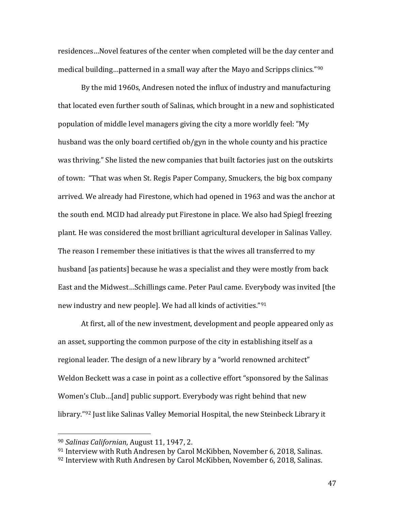residences…Novel features of the center when completed will be the day center and medical building…patterned in a small way after the Mayo and Scripps clinics."[90](#page-46-0)

By the mid 1960s, Andresen noted the influx of industry and manufacturing that located even further south of Salinas, which brought in a new and sophisticated population of middle level managers giving the city a more worldly feel: "My husband was the only board certified ob/gyn in the whole county and his practice was thriving." She listed the new companies that built factories just on the outskirts of town: "That was when St. Regis Paper Company, Smuckers, the big box company arrived. We already had Firestone, which had opened in 1963 and was the anchor at the south end. MCID had already put Firestone in place. We also had Spiegl freezing plant. He was considered the most brilliant agricultural developer in Salinas Valley. The reason I remember these initiatives is that the wives all transferred to my husband [as patients] because he was a specialist and they were mostly from back East and the Midwest…Schillings came. Peter Paul came. Everybody was invited [the new industry and new people]. We had all kinds of activities."[91](#page-46-1)

At first, all of the new investment, development and people appeared only as an asset, supporting the common purpose of the city in establishing itself as a regional leader. The design of a new library by a "world renowned architect" Weldon Beckett was a case in point as a collective effort "sponsored by the Salinas Women's Club…[and] public support. Everybody was right behind that new library."<sup>[92](#page-46-2)</sup> Just like Salinas Valley Memorial Hospital, the new Steinbeck Library it

<span id="page-46-0"></span> <sup>90</sup> *Salinas Californian*, August 11, 1947, 2.

<span id="page-46-2"></span><span id="page-46-1"></span><sup>91</sup> Interview with Ruth Andresen by Carol McKibben, November 6, 2018, Salinas.  $92$  Interview with Ruth Andresen by Carol McKibben, November 6, 2018, Salinas.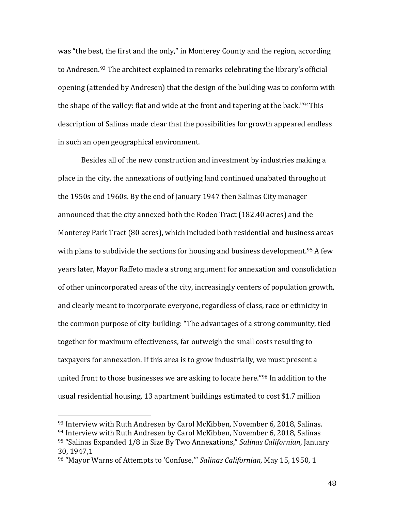was "the best, the first and the only," in Monterey County and the region, according to Andresen.[93](#page-47-0) The architect explained in remarks celebrating the library's official opening (attended by Andresen) that the design of the building was to conform with the shape of the valley: flat and wide at the front and tapering at the back."<sup>[94](#page-47-1)</sup>This description of Salinas made clear that the possibilities for growth appeared endless in such an open geographical environment.

Besides all of the new construction and investment by industries making a place in the city, the annexations of outlying land continued unabated throughout the 1950s and 1960s. By the end of January 1947 then Salinas City manager announced that the city annexed both the Rodeo Tract (182.40 acres) and the Monterey Park Tract (80 acres), which included both residential and business areas with plans to subdivide the sections for housing and business development.<sup>[95](#page-47-2)</sup> A few years later, Mayor Raffeto made a strong argument for annexation and consolidation of other unincorporated areas of the city, increasingly centers of population growth, and clearly meant to incorporate everyone, regardless of class, race or ethnicity in the common purpose of city-building: "The advantages of a strong community, tied together for maximum effectiveness, far outweigh the small costs resulting to taxpayers for annexation. If this area is to grow industrially, we must present a united front to those businesses we are asking to locate here."[96](#page-47-3) In addition to the usual residential housing, 13 apartment buildings estimated to cost \$1.7 million

<span id="page-47-2"></span><span id="page-47-1"></span><span id="page-47-0"></span><sup>93</sup> Interview with Ruth Andresen by Carol McKibben, November 6, 2018, Salinas. <sup>94</sup> Interview with Ruth Andresen by Carol McKibben, November 6, 2018, Salinas <sup>95</sup> "Salinas Expanded 1/8 in Size By Two Annexations," *Salinas Californian*, January 30, 1947,1

<span id="page-47-3"></span><sup>96</sup> "Mayor Warns of Attempts to 'Confuse,'" *Salinas Californian*, May 15, 1950, 1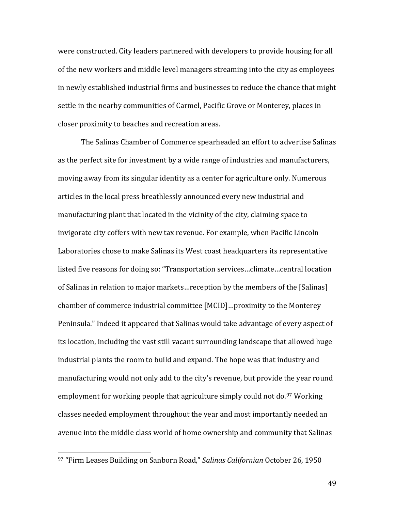were constructed. City leaders partnered with developers to provide housing for all of the new workers and middle level managers streaming into the city as employees in newly established industrial firms and businesses to reduce the chance that might settle in the nearby communities of Carmel, Pacific Grove or Monterey, places in closer proximity to beaches and recreation areas.

The Salinas Chamber of Commerce spearheaded an effort to advertise Salinas as the perfect site for investment by a wide range of industries and manufacturers, moving away from its singular identity as a center for agriculture only. Numerous articles in the local press breathlessly announced every new industrial and manufacturing plant that located in the vicinity of the city, claiming space to invigorate city coffers with new tax revenue. For example, when Pacific Lincoln Laboratories chose to make Salinas its West coast headquarters its representative listed five reasons for doing so: "Transportation services…climate…central location of Salinas in relation to major markets…reception by the members of the [Salinas] chamber of commerce industrial committee [MCID]…proximity to the Monterey Peninsula." Indeed it appeared that Salinas would take advantage of every aspect of its location, including the vast still vacant surrounding landscape that allowed huge industrial plants the room to build and expand. The hope was that industry and manufacturing would not only add to the city's revenue, but provide the year round employment for working people that agriculture simply could not do.<sup>[97](#page-48-0)</sup> Working classes needed employment throughout the year and most importantly needed an avenue into the middle class world of home ownership and community that Salinas

<span id="page-48-0"></span> <sup>97</sup> "Firm Leases Building on Sanborn Road," *Salinas Californian* October 26, 1950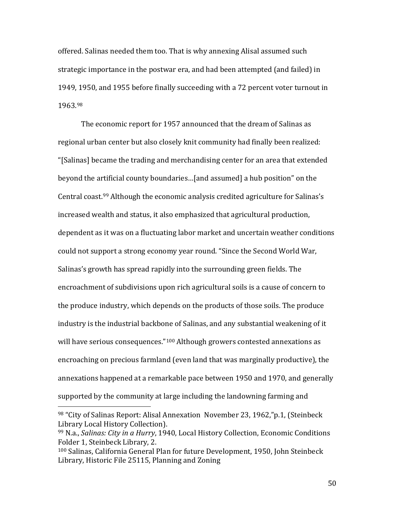offered. Salinas needed them too. That is why annexing Alisal assumed such strategic importance in the postwar era, and had been attempted (and failed) in 1949, 1950, and 1955 before finally succeeding with a 72 percent voter turnout in 1963.[98](#page-49-0)

The economic report for 1957 announced that the dream of Salinas as regional urban center but also closely knit community had finally been realized: "[Salinas] became the trading and merchandising center for an area that extended beyond the artificial county boundaries…[and assumed] a hub position" on the Central coast.[99](#page-49-1) Although the economic analysis credited agriculture for Salinas's increased wealth and status, it also emphasized that agricultural production, dependent as it was on a fluctuating labor market and uncertain weather conditions could not support a strong economy year round. "Since the Second World War, Salinas's growth has spread rapidly into the surrounding green fields. The encroachment of subdivisions upon rich agricultural soils is a cause of concern to the produce industry, which depends on the products of those soils. The produce industry is the industrial backbone of Salinas, and any substantial weakening of it will have serious consequences."<sup>[100](#page-49-2)</sup> Although growers contested annexations as encroaching on precious farmland (even land that was marginally productive), the annexations happened at a remarkable pace between 1950 and 1970, and generally supported by the community at large including the landowning farming and

<span id="page-49-0"></span> <sup>98</sup> "City of Salinas Report: Alisal Annexation November 23, 1962,"p.1, (Steinbeck Library Local History Collection).

<span id="page-49-1"></span><sup>99</sup> N.a., *Salinas: City in a Hurry*, 1940, Local History Collection, Economic Conditions Folder 1, Steinbeck Library, 2.

<span id="page-49-2"></span><sup>100</sup> Salinas, California General Plan for future Development, 1950, John Steinbeck Library, Historic File 25115, Planning and Zoning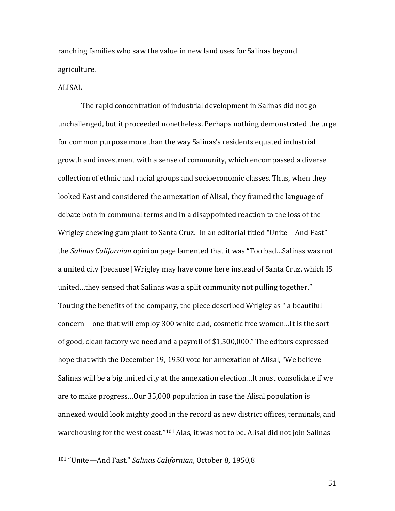ranching families who saw the value in new land uses for Salinas beyond agriculture.

## ALISAL

The rapid concentration of industrial development in Salinas did not go unchallenged, but it proceeded nonetheless. Perhaps nothing demonstrated the urge for common purpose more than the way Salinas's residents equated industrial growth and investment with a sense of community, which encompassed a diverse collection of ethnic and racial groups and socioeconomic classes. Thus, when they looked East and considered the annexation of Alisal, they framed the language of debate both in communal terms and in a disappointed reaction to the loss of the Wrigley chewing gum plant to Santa Cruz. In an editorial titled "Unite—And Fast" the *Salinas Californian* opinion page lamented that it was "Too bad…Salinas was not a united city [because] Wrigley may have come here instead of Santa Cruz, which IS united…they sensed that Salinas was a split community not pulling together." Touting the benefits of the company, the piece described Wrigley as " a beautiful concern—one that will employ 300 white clad, cosmetic free women…It is the sort of good, clean factory we need and a payroll of \$1,500,000." The editors expressed hope that with the December 19, 1950 vote for annexation of Alisal, "We believe Salinas will be a big united city at the annexation election…It must consolidate if we are to make progress…Our 35,000 population in case the Alisal population is annexed would look mighty good in the record as new district offices, terminals, and warehousing for the west coast."[101](#page-50-0) Alas, it was not to be. Alisal did not join Salinas

<span id="page-50-0"></span> <sup>101</sup> "Unite—And Fast," *Salinas Californian*, October 8, 1950,8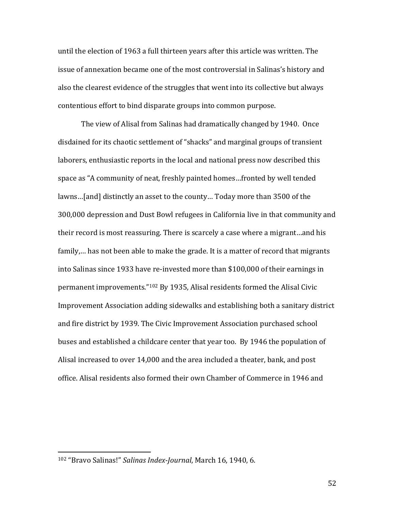until the election of 1963 a full thirteen years after this article was written. The issue of annexation became one of the most controversial in Salinas's history and also the clearest evidence of the struggles that went into its collective but always contentious effort to bind disparate groups into common purpose.

The view of Alisal from Salinas had dramatically changed by 1940. Once disdained for its chaotic settlement of "shacks" and marginal groups of transient laborers, enthusiastic reports in the local and national press now described this space as "A community of neat, freshly painted homes…fronted by well tended lawns…[and] distinctly an asset to the county… Today more than 3500 of the 300,000 depression and Dust Bowl refugees in California live in that community and their record is most reassuring. There is scarcely a case where a migrant…and his family,… has not been able to make the grade. It is a matter of record that migrants into Salinas since 1933 have re-invested more than \$100,000 of their earnings in permanent improvements."[102](#page-51-0) By 1935, Alisal residents formed the Alisal Civic Improvement Association adding sidewalks and establishing both a sanitary district and fire district by 1939. The Civic Improvement Association purchased school buses and established a childcare center that year too. By 1946 the population of Alisal increased to over 14,000 and the area included a theater, bank, and post office. Alisal residents also formed their own Chamber of Commerce in 1946 and

<span id="page-51-0"></span> <sup>102</sup> "Bravo Salinas!" *Salinas Index-Journal*, March 16, 1940, 6.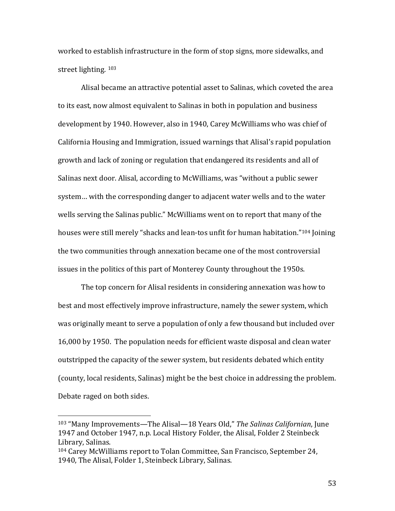worked to establish infrastructure in the form of stop signs, more sidewalks, and street lighting. [103](#page-52-0)

Alisal became an attractive potential asset to Salinas, which coveted the area to its east, now almost equivalent to Salinas in both in population and business development by 1940. However, also in 1940, Carey McWilliams who was chief of California Housing and Immigration, issued warnings that Alisal's rapid population growth and lack of zoning or regulation that endangered its residents and all of Salinas next door. Alisal, according to McWilliams, was "without a public sewer system… with the corresponding danger to adjacent water wells and to the water wells serving the Salinas public." McWilliams went on to report that many of the houses were still merely "shacks and lean-tos unfit for human habitation."<sup>[104](#page-52-1)</sup> Joining the two communities through annexation became one of the most controversial issues in the politics of this part of Monterey County throughout the 1950s.

The top concern for Alisal residents in considering annexation was how to best and most effectively improve infrastructure, namely the sewer system, which was originally meant to serve a population of only a few thousand but included over 16,000 by 1950. The population needs for efficient waste disposal and clean water outstripped the capacity of the sewer system, but residents debated which entity (county, local residents, Salinas) might be the best choice in addressing the problem. Debate raged on both sides.

<span id="page-52-0"></span> <sup>103</sup> "Many Improvements—The Alisal—18 Years Old," *The Salinas Californian*, June 1947 and October 1947, n.p. Local History Folder, the Alisal, Folder 2 Steinbeck Library, Salinas.

<span id="page-52-1"></span><sup>104</sup> Carey McWilliams report to Tolan Committee, San Francisco, September 24, 1940, The Alisal, Folder 1, Steinbeck Library, Salinas.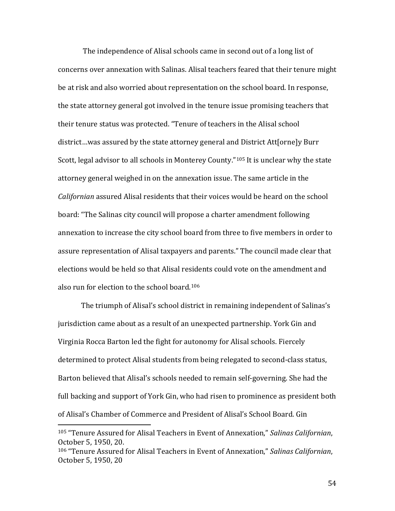The independence of Alisal schools came in second out of a long list of concerns over annexation with Salinas. Alisal teachers feared that their tenure might be at risk and also worried about representation on the school board. In response, the state attorney general got involved in the tenure issue promising teachers that their tenure status was protected. "Tenure of teachers in the Alisal school district…was assured by the state attorney general and District Att[orne]y Burr Scott, legal advisor to all schools in Monterey County."<sup>[105](#page-53-0)</sup> It is unclear why the state attorney general weighed in on the annexation issue. The same article in the *Californian* assured Alisal residents that their voices would be heard on the school board: "The Salinas city council will propose a charter amendment following annexation to increase the city school board from three to five members in order to assure representation of Alisal taxpayers and parents." The council made clear that elections would be held so that Alisal residents could vote on the amendment and also run for election to the school board.[106](#page-53-1)

The triumph of Alisal's school district in remaining independent of Salinas's jurisdiction came about as a result of an unexpected partnership. York Gin and Virginia Rocca Barton led the fight for autonomy for Alisal schools. Fiercely determined to protect Alisal students from being relegated to second-class status, Barton believed that Alisal's schools needed to remain self-governing. She had the full backing and support of York Gin, who had risen to prominence as president both of Alisal's Chamber of Commerce and President of Alisal's School Board. Gin

<span id="page-53-0"></span> <sup>105</sup> "Tenure Assured for Alisal Teachers in Event of Annexation," *Salinas Californian*, October 5, 1950, 20.

<span id="page-53-1"></span><sup>106</sup> "Tenure Assured for Alisal Teachers in Event of Annexation," *Salinas Californian*, October 5, 1950, 20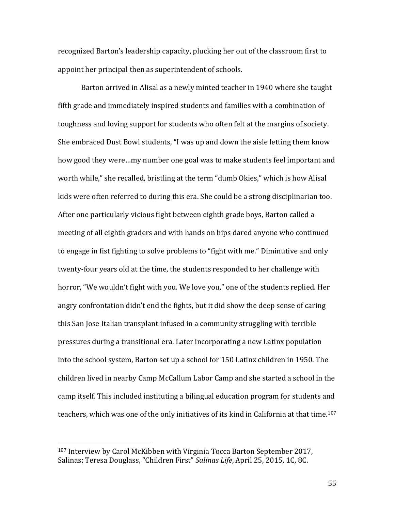recognized Barton's leadership capacity, plucking her out of the classroom first to appoint her principal then as superintendent of schools.

Barton arrived in Alisal as a newly minted teacher in 1940 where she taught fifth grade and immediately inspired students and families with a combination of toughness and loving support for students who often felt at the margins of society. She embraced Dust Bowl students, "I was up and down the aisle letting them know how good they were…my number one goal was to make students feel important and worth while," she recalled, bristling at the term "dumb Okies," which is how Alisal kids were often referred to during this era. She could be a strong disciplinarian too. After one particularly vicious fight between eighth grade boys, Barton called a meeting of all eighth graders and with hands on hips dared anyone who continued to engage in fist fighting to solve problems to "fight with me." Diminutive and only twenty-four years old at the time, the students responded to her challenge with horror, "We wouldn't fight with you. We love you," one of the students replied. Her angry confrontation didn't end the fights, but it did show the deep sense of caring this San Jose Italian transplant infused in a community struggling with terrible pressures during a transitional era. Later incorporating a new Latinx population into the school system, Barton set up a school for 150 Latinx children in 1950. The children lived in nearby Camp McCallum Labor Camp and she started a school in the camp itself. This included instituting a bilingual education program for students and teachers, which was one of the only initiatives of its kind in California at that time.<sup>107</sup>

<span id="page-54-0"></span> <sup>107</sup> Interview by Carol McKibben with Virginia Tocca Barton September 2017, Salinas; Teresa Douglass, "Children First" *Salinas Life*, April 25, 2015, 1C, 8C.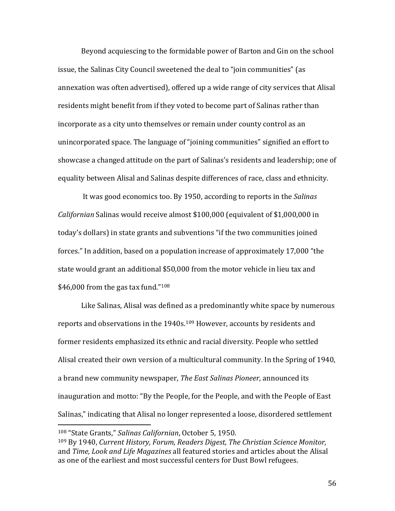Beyond acquiescing to the formidable power of Barton and Gin on the school issue, the Salinas City Council sweetened the deal to "join communities" (as annexation was often advertised), offered up a wide range of city services that Alisal residents might benefit from if they voted to become part of Salinas rather than incorporate as a city unto themselves or remain under county control as an unincorporated space. The language of "joining communities" signified an effort to showcase a changed attitude on the part of Salinas's residents and leadership; one of equality between Alisal and Salinas despite differences of race, class and ethnicity.

It was good economics too. By 1950, according to reports in the *Salinas Californian* Salinas would receive almost \$100,000 (equivalent of \$1,000,000 in today's dollars) in state grants and subventions "if the two communities joined forces." In addition, based on a population increase of approximately 17,000 "the state would grant an additional \$50,000 from the motor vehicle in lieu tax and  $$46,000$  from the gas tax fund."<sup>[108](#page-55-0)</sup>

Like Salinas, Alisal was defined as a predominantly white space by numerous reports and observations in the 1940s.<sup>[109](#page-55-1)</sup> However, accounts by residents and former residents emphasized its ethnic and racial diversity. People who settled Alisal created their own version of a multicultural community. In the Spring of 1940, a brand new community newspaper, *The East Salinas Pioneer*, announced its inauguration and motto: "By the People, for the People, and with the People of East Salinas," indicating that Alisal no longer represented a loose, disordered settlement

<span id="page-55-0"></span> <sup>108</sup> "State Grants," *Salinas Californian*, October 5, 1950.

<span id="page-55-1"></span><sup>109</sup> By 1940, *Current History, Forum, Readers Digest, The Christian Science Monitor,*  and *Time, Look and Life Magazines* all featured stories and articles about the Alisal as one of the earliest and most successful centers for Dust Bowl refugees.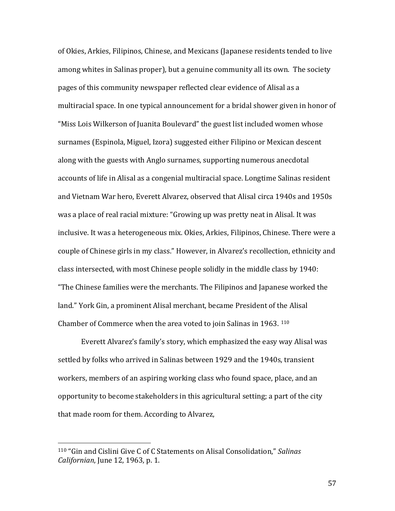of Okies, Arkies, Filipinos, Chinese, and Mexicans (Japanese residents tended to live among whites in Salinas proper), but a genuine community all its own. The society pages of this community newspaper reflected clear evidence of Alisal as a multiracial space. In one typical announcement for a bridal shower given in honor of "Miss Lois Wilkerson of Juanita Boulevard" the guest list included women whose surnames (Espinola, Miguel, Izora) suggested either Filipino or Mexican descent along with the guests with Anglo surnames, supporting numerous anecdotal accounts of life in Alisal as a congenial multiracial space. Longtime Salinas resident and Vietnam War hero, Everett Alvarez, observed that Alisal circa 1940s and 1950s was a place of real racial mixture: "Growing up was pretty neat in Alisal. It was inclusive. It was a heterogeneous mix. Okies, Arkies, Filipinos, Chinese. There were a couple of Chinese girls in my class." However, in Alvarez's recollection, ethnicity and class intersected, with most Chinese people solidly in the middle class by 1940: "The Chinese families were the merchants. The Filipinos and Japanese worked the land." York Gin, a prominent Alisal merchant, became President of the Alisal Chamber of Commerce when the area voted to join Salinas in 1963. [110](#page-56-0)

Everett Alvarez's family's story, which emphasized the easy way Alisal was settled by folks who arrived in Salinas between 1929 and the 1940s, transient workers, members of an aspiring working class who found space, place, and an opportunity to become stakeholders in this agricultural setting; a part of the city that made room for them. According to Alvarez,

<span id="page-56-0"></span> <sup>110</sup> "Gin and Cislini Give C of C Statements on Alisal Consolidation," *Salinas Californian*, June 12, 1963, p. 1.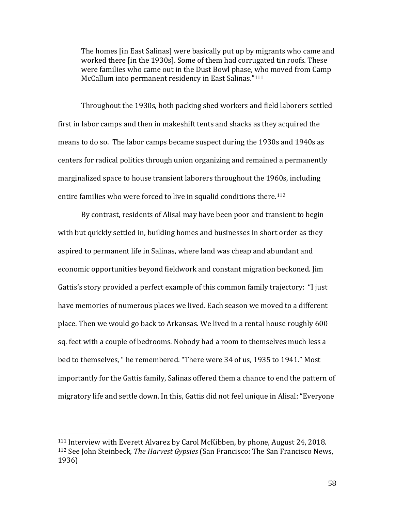The homes [in East Salinas] were basically put up by migrants who came and worked there [in the 1930s]. Some of them had corrugated tin roofs. These were families who came out in the Dust Bowl phase, who moved from Camp McCallum into permanent residency in East Salinas."[111](#page-57-0)

Throughout the 1930s, both packing shed workers and field laborers settled first in labor camps and then in makeshift tents and shacks as they acquired the means to do so. The labor camps became suspect during the 1930s and 1940s as centers for radical politics through union organizing and remained a permanently marginalized space to house transient laborers throughout the 1960s, including entire families who were forced to live in squalid conditions there.<sup>[112](#page-57-1)</sup>

By contrast, residents of Alisal may have been poor and transient to begin with but quickly settled in, building homes and businesses in short order as they aspired to permanent life in Salinas, where land was cheap and abundant and economic opportunities beyond fieldwork and constant migration beckoned. Jim Gattis's story provided a perfect example of this common family trajectory: "I just have memories of numerous places we lived. Each season we moved to a different place. Then we would go back to Arkansas. We lived in a rental house roughly 600 sq. feet with a couple of bedrooms. Nobody had a room to themselves much less a bed to themselves, " he remembered. "There were 34 of us, 1935 to 1941." Most importantly for the Gattis family, Salinas offered them a chance to end the pattern of migratory life and settle down. In this, Gattis did not feel unique in Alisal: "Everyone

<span id="page-57-1"></span><span id="page-57-0"></span> <sup>111</sup> Interview with Everett Alvarez by Carol McKibben, by phone, August 24, 2018. <sup>112</sup> See John Steinbeck, *The Harvest Gypsies* (San Francisco: The San Francisco News, 1936)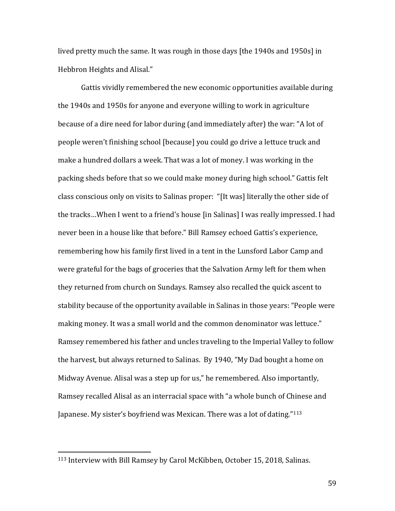lived pretty much the same. It was rough in those days [the 1940s and 1950s] in Hebbron Heights and Alisal."

Gattis vividly remembered the new economic opportunities available during the 1940s and 1950s for anyone and everyone willing to work in agriculture because of a dire need for labor during (and immediately after) the war: "A lot of people weren't finishing school [because] you could go drive a lettuce truck and make a hundred dollars a week. That was a lot of money. I was working in the packing sheds before that so we could make money during high school." Gattis felt class conscious only on visits to Salinas proper: "[It was] literally the other side of the tracks…When I went to a friend's house [in Salinas] I was really impressed. I had never been in a house like that before." Bill Ramsey echoed Gattis's experience, remembering how his family first lived in a tent in the Lunsford Labor Camp and were grateful for the bags of groceries that the Salvation Army left for them when they returned from church on Sundays. Ramsey also recalled the quick ascent to stability because of the opportunity available in Salinas in those years: "People were making money. It was a small world and the common denominator was lettuce." Ramsey remembered his father and uncles traveling to the Imperial Valley to follow the harvest, but always returned to Salinas. By 1940, "My Dad bought a home on Midway Avenue. Alisal was a step up for us," he remembered. Also importantly, Ramsey recalled Alisal as an interracial space with "a whole bunch of Chinese and Japanese. My sister's boyfriend was Mexican. There was a lot of dating."<sup>[113](#page-58-0)</sup>

<span id="page-58-0"></span> <sup>113</sup> Interview with Bill Ramsey by Carol McKibben, October 15, 2018, Salinas.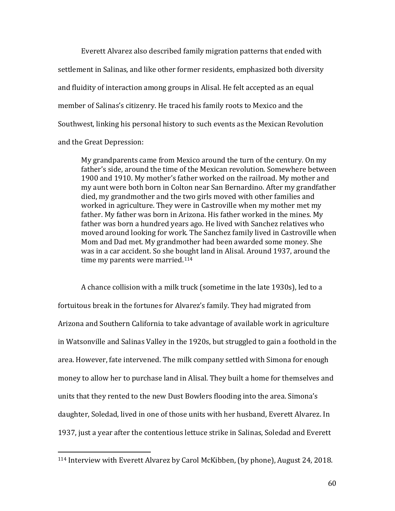Everett Alvarez also described family migration patterns that ended with settlement in Salinas, and like other former residents, emphasized both diversity and fluidity of interaction among groups in Alisal. He felt accepted as an equal member of Salinas's citizenry. He traced his family roots to Mexico and the Southwest, linking his personal history to such events as the Mexican Revolution and the Great Depression:

My grandparents came from Mexico around the turn of the century. On my father's side, around the time of the Mexican revolution. Somewhere between 1900 and 1910. My mother's father worked on the railroad. My mother and my aunt were both born in Colton near San Bernardino. After my grandfather died, my grandmother and the two girls moved with other families and worked in agriculture. They were in Castroville when my mother met my father. My father was born in Arizona. His father worked in the mines. My father was born a hundred years ago. He lived with Sanchez relatives who moved around looking for work. The Sanchez family lived in Castroville when Mom and Dad met. My grandmother had been awarded some money. She was in a car accident. So she bought land in Alisal. Around 1937, around the time my parents were married.<sup>[114](#page-59-0)</sup>

A chance collision with a milk truck (sometime in the late 1930s), led to a fortuitous break in the fortunes for Alvarez's family. They had migrated from Arizona and Southern California to take advantage of available work in agriculture in Watsonville and Salinas Valley in the 1920s, but struggled to gain a foothold in the area. However, fate intervened. The milk company settled with Simona for enough money to allow her to purchase land in Alisal. They built a home for themselves and units that they rented to the new Dust Bowlers flooding into the area. Simona's daughter, Soledad, lived in one of those units with her husband, Everett Alvarez. In 1937, just a year after the contentious lettuce strike in Salinas, Soledad and Everett

<span id="page-59-0"></span> <sup>114</sup> Interview with Everett Alvarez by Carol McKibben, (by phone), August 24, 2018.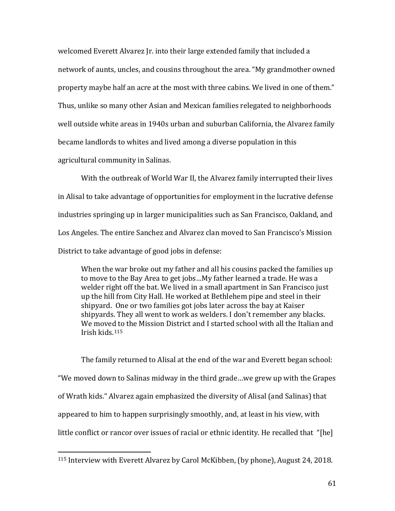welcomed Everett Alvarez Jr. into their large extended family that included a network of aunts, uncles, and cousins throughout the area. "My grandmother owned property maybe half an acre at the most with three cabins. We lived in one of them." Thus, unlike so many other Asian and Mexican families relegated to neighborhoods well outside white areas in 1940s urban and suburban California, the Alvarez family became landlords to whites and lived among a diverse population in this agricultural community in Salinas.

With the outbreak of World War II, the Alvarez family interrupted their lives in Alisal to take advantage of opportunities for employment in the lucrative defense industries springing up in larger municipalities such as San Francisco, Oakland, and Los Angeles. The entire Sanchez and Alvarez clan moved to San Francisco's Mission District to take advantage of good jobs in defense:

When the war broke out my father and all his cousins packed the families up to move to the Bay Area to get jobs…My father learned a trade. He was a welder right off the bat. We lived in a small apartment in San Francisco just up the hill from City Hall. He worked at Bethlehem pipe and steel in their shipyard. One or two families got jobs later across the bay at Kaiser shipyards. They all went to work as welders. I don't remember any blacks. We moved to the Mission District and I started school with all the Italian and Irish kids.[115](#page-60-0)

The family returned to Alisal at the end of the war and Everett began school: "We moved down to Salinas midway in the third grade…we grew up with the Grapes of Wrath kids." Alvarez again emphasized the diversity of Alisal (and Salinas) that appeared to him to happen surprisingly smoothly, and, at least in his view, with little conflict or rancor over issues of racial or ethnic identity. He recalled that "[he]

<span id="page-60-0"></span> <sup>115</sup> Interview with Everett Alvarez by Carol McKibben, (by phone), August 24, 2018.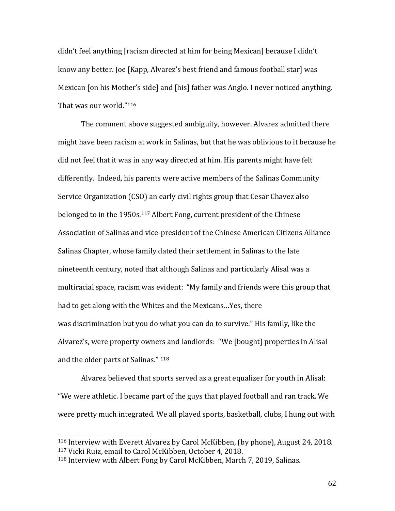didn't feel anything [racism directed at him for being Mexican] because I didn't know any better. Joe [Kapp, Alvarez's best friend and famous football star] was Mexican [on his Mother's side] and [his] father was Anglo. I never noticed anything. That was our world."[116](#page-61-0)

The comment above suggested ambiguity, however. Alvarez admitted there might have been racism at work in Salinas, but that he was oblivious to it because he did not feel that it was in any way directed at him. His parents might have felt differently. Indeed, his parents were active members of the Salinas Community Service Organization (CSO) an early civil rights group that Cesar Chavez also belonged to in the 1950s.[117](#page-61-1) Albert Fong, current president of the Chinese Association of Salinas and vice-president of the Chinese American Citizens Alliance Salinas Chapter, whose family dated their settlement in Salinas to the late nineteenth century, noted that although Salinas and particularly Alisal was a multiracial space, racism was evident: "My family and friends were this group that had to get along with the Whites and the Mexicans…Yes, there was discrimination but you do what you can do to survive." His family, like the Alvarez's, were property owners and landlords: "We [bought] properties in Alisal and the older parts of Salinas." [118](#page-61-2)

Alvarez believed that sports served as a great equalizer for youth in Alisal: "We were athletic. I became part of the guys that played football and ran track. We were pretty much integrated. We all played sports, basketball, clubs, I hung out with

<span id="page-61-1"></span><span id="page-61-0"></span> <sup>116</sup> Interview with Everett Alvarez by Carol McKibben, (by phone), August 24, 2018. <sup>117</sup> Vicki Ruiz, email to Carol McKibben, October 4, 2018.

<span id="page-61-2"></span><sup>118</sup> Interview with Albert Fong by Carol McKibben, March 7, 2019, Salinas.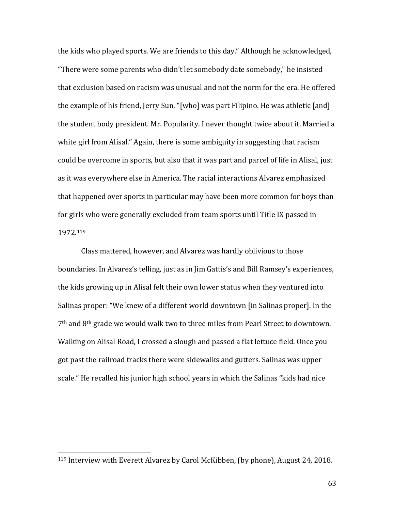the kids who played sports. We are friends to this day." Although he acknowledged, "There were some parents who didn't let somebody date somebody," he insisted that exclusion based on racism was unusual and not the norm for the era. He offered the example of his friend, Jerry Sun, "[who] was part Filipino. He was athletic [and] the student body president. Mr. Popularity. I never thought twice about it. Married a white girl from Alisal." Again, there is some ambiguity in suggesting that racism could be overcome in sports, but also that it was part and parcel of life in Alisal, just as it was everywhere else in America. The racial interactions Alvarez emphasized that happened over sports in particular may have been more common for boys than for girls who were generally excluded from team sports until Title IX passed in 1972.[119](#page-62-0)

Class mattered, however, and Alvarez was hardly oblivious to those boundaries. In Alvarez's telling, just as in Jim Gattis's and Bill Ramsey's experiences, the kids growing up in Alisal felt their own lower status when they ventured into Salinas proper: "We knew of a different world downtown [in Salinas proper]. In the 7th and 8th grade we would walk two to three miles from Pearl Street to downtown. Walking on Alisal Road, I crossed a slough and passed a flat lettuce field. Once you got past the railroad tracks there were sidewalks and gutters. Salinas was upper scale." He recalled his junior high school years in which the Salinas "kids had nice

<span id="page-62-0"></span> <sup>119</sup> Interview with Everett Alvarez by Carol McKibben, (by phone), August 24, 2018.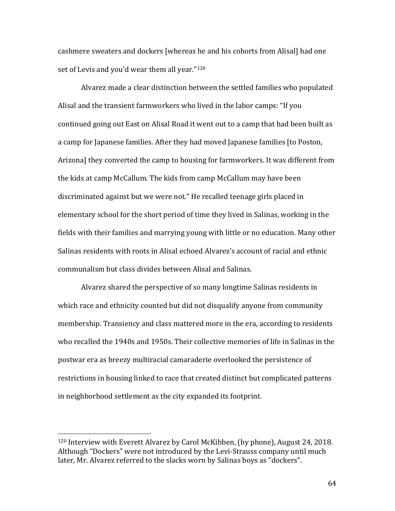cashmere sweaters and dockers [whereas he and his cohorts from Alisal] had one set of Levis and you'd wear them all year."[120](#page-63-0)

Alvarez made a clear distinction between the settled families who populated Alisal and the transient farmworkers who lived in the labor camps: "If you continued going out East on Alisal Road it went out to a camp that had been built as a camp for Japanese families. After they had moved Japanese families [to Poston, Arizona] they converted the camp to housing for farmworkers. It was different from the kids at camp McCallum. The kids from camp McCallum may have been discriminated against but we were not." He recalled teenage girls placed in elementary school for the short period of time they lived in Salinas, working in the fields with their families and marrying young with little or no education. Many other Salinas residents with roots in Alisal echoed Alvarez's account of racial and ethnic communalism but class divides between Alisal and Salinas.

Alvarez shared the perspective of so many longtime Salinas residents in which race and ethnicity counted but did not disqualify anyone from community membership. Transiency and class mattered more in the era, according to residents who recalled the 1940s and 1950s. Their collective memories of life in Salinas in the postwar era as breezy multiracial camaraderie overlooked the persistence of restrictions in housing linked to race that created distinct but complicated patterns in neighborhood settlement as the city expanded its footprint.

<span id="page-63-0"></span> <sup>120</sup> Interview with Everett Alvarez by Carol McKibben, (by phone), August 24, 2018. Although "Dockers" were not introduced by the Levi-Strauss company until much later, Mr. Alvarez referred to the slacks worn by Salinas boys as "dockers".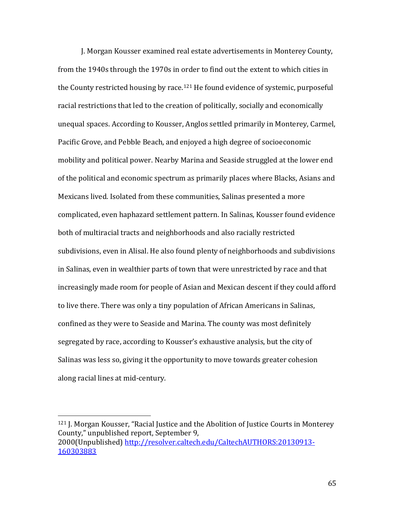J. Morgan Kousser examined real estate advertisements in Monterey County, from the 1940s through the 1970s in order to find out the extent to which cities in the County restricted housing by race.[121](#page-64-0) He found evidence of systemic, purposeful racial restrictions that led to the creation of politically, socially and economically unequal spaces. According to Kousser, Anglos settled primarily in Monterey, Carmel, Pacific Grove, and Pebble Beach, and enjoyed a high degree of socioeconomic mobility and political power. Nearby Marina and Seaside struggled at the lower end of the political and economic spectrum as primarily places where Blacks, Asians and Mexicans lived. Isolated from these communities, Salinas presented a more complicated, even haphazard settlement pattern. In Salinas, Kousser found evidence both of multiracial tracts and neighborhoods and also racially restricted subdivisions, even in Alisal. He also found plenty of neighborhoods and subdivisions in Salinas, even in wealthier parts of town that were unrestricted by race and that increasingly made room for people of Asian and Mexican descent if they could afford to live there. There was only a tiny population of African Americans in Salinas, confined as they were to Seaside and Marina. The county was most definitely segregated by race, according to Kousser's exhaustive analysis, but the city of Salinas was less so, giving it the opportunity to move towards greater cohesion along racial lines at mid-century.

<span id="page-64-0"></span><sup>&</sup>lt;sup>121</sup> J. Morgan Kousser, "Racial Justice and the Abolition of Justice Courts in Monterey County," unpublished report, September 9, 2000(Unpublished) [http://resolver.caltech.edu/CaltechAUTHORS:20130913-](http://resolver.caltech.edu/CaltechAUTHORS:20130913-160303883) [160303883](http://resolver.caltech.edu/CaltechAUTHORS:20130913-160303883)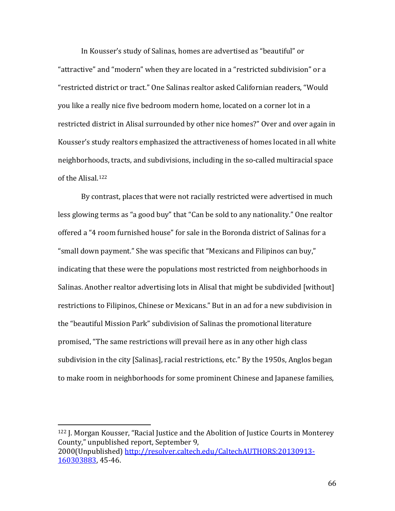In Kousser's study of Salinas, homes are advertised as "beautiful" or "attractive" and "modern" when they are located in a "restricted subdivision" or a "restricted district or tract." One Salinas realtor asked Californian readers, "Would you like a really nice five bedroom modern home, located on a corner lot in a restricted district in Alisal surrounded by other nice homes?" Over and over again in Kousser's study realtors emphasized the attractiveness of homes located in all white neighborhoods, tracts, and subdivisions, including in the so-called multiracial space of the Alisal.[122](#page-65-0)

By contrast, places that were not racially restricted were advertised in much less glowing terms as "a good buy" that "Can be sold to any nationality." One realtor offered a "4 room furnished house" for sale in the Boronda district of Salinas for a "small down payment." She was specific that "Mexicans and Filipinos can buy," indicating that these were the populations most restricted from neighborhoods in Salinas. Another realtor advertising lots in Alisal that might be subdivided [without] restrictions to Filipinos, Chinese or Mexicans." But in an ad for a new subdivision in the "beautiful Mission Park" subdivision of Salinas the promotional literature promised, "The same restrictions will prevail here as in any other high class subdivision in the city [Salinas], racial restrictions, etc." By the 1950s, Anglos began to make room in neighborhoods for some prominent Chinese and Japanese families,

<span id="page-65-0"></span> <sup>122</sup> J. Morgan Kousser, "Racial Justice and the Abolition of Justice Courts in Monterey County," unpublished report, September 9, 2000(Unpublished) [http://resolver.caltech.edu/CaltechAUTHORS:20130913-](http://resolver.caltech.edu/CaltechAUTHORS:20130913-160303883) [160303883,](http://resolver.caltech.edu/CaltechAUTHORS:20130913-160303883) 45-46.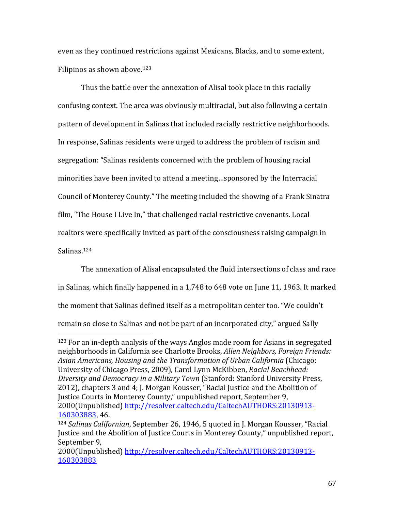even as they continued restrictions against Mexicans, Blacks, and to some extent, Filipinos as shown above. [123](#page-66-0)

Thus the battle over the annexation of Alisal took place in this racially confusing context. The area was obviously multiracial, but also following a certain pattern of development in Salinas that included racially restrictive neighborhoods. In response, Salinas residents were urged to address the problem of racism and segregation: "Salinas residents concerned with the problem of housing racial minorities have been invited to attend a meeting…sponsored by the Interracial Council of Monterey County." The meeting included the showing of a Frank Sinatra film, "The House I Live In," that challenged racial restrictive covenants. Local realtors were specifically invited as part of the consciousness raising campaign in Salinas.[124](#page-66-1)

The annexation of Alisal encapsulated the fluid intersections of class and race in Salinas, which finally happened in a 1,748 to 648 vote on June 11, 1963. It marked the moment that Salinas defined itself as a metropolitan center too. "We couldn't remain so close to Salinas and not be part of an incorporated city," argued Sally

<span id="page-66-0"></span> <sup>123</sup> For an in-depth analysis of the ways Anglos made room for Asians in segregated neighborhoods in California see Charlotte Brooks, *Alien Neighbors, Foreign Friends: Asian Americans, Housing and the Transformation of Urban California* (Chicago: University of Chicago Press, 2009), Carol Lynn McKibben, *Racial Beachhead: Diversity and Democracy in a Military Town* (Stanford: Stanford University Press, 2012), chapters 3 and 4; J. Morgan Kousser, "Racial Justice and the Abolition of Justice Courts in Monterey County," unpublished report, September 9, 2000(Unpublished) [http://resolver.caltech.edu/CaltechAUTHORS:20130913-](http://resolver.caltech.edu/CaltechAUTHORS:20130913-160303883) [160303883,](http://resolver.caltech.edu/CaltechAUTHORS:20130913-160303883) 46.

<span id="page-66-1"></span><sup>124</sup> *Salinas Californian*, September 26, 1946, 5 quoted in J. Morgan Kousser, "Racial Justice and the Abolition of Justice Courts in Monterey County," unpublished report, September 9,

<sup>2000(</sup>Unpublished) [http://resolver.caltech.edu/CaltechAUTHORS:20130913-](http://resolver.caltech.edu/CaltechAUTHORS:20130913-160303883) [160303883](http://resolver.caltech.edu/CaltechAUTHORS:20130913-160303883)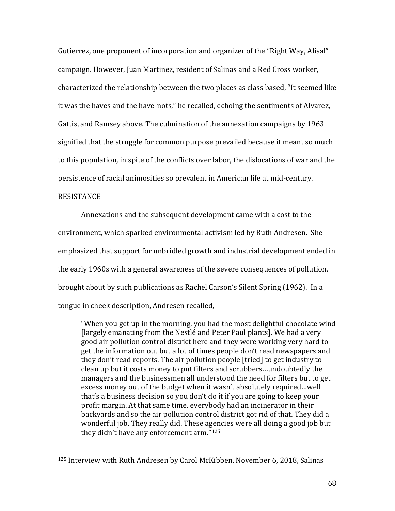Gutierrez, one proponent of incorporation and organizer of the "Right Way, Alisal" campaign. However, Juan Martinez, resident of Salinas and a Red Cross worker, characterized the relationship between the two places as class based, "It seemed like it was the haves and the have-nots," he recalled, echoing the sentiments of Alvarez, Gattis, and Ramsey above. The culmination of the annexation campaigns by 1963 signified that the struggle for common purpose prevailed because it meant so much to this population, in spite of the conflicts over labor, the dislocations of war and the persistence of racial animosities so prevalent in American life at mid-century.

## **RESISTANCE**

Annexations and the subsequent development came with a cost to the environment, which sparked environmental activism led by Ruth Andresen. She emphasized that support for unbridled growth and industrial development ended in the early 1960s with a general awareness of the severe consequences of pollution, brought about by such publications as Rachel Carson's Silent Spring (1962). In a tongue in cheek description, Andresen recalled,

"When you get up in the morning, you had the most delightful chocolate wind [largely emanating from the Nestlé and Peter Paul plants]. We had a very good air pollution control district here and they were working very hard to get the information out but a lot of times people don't read newspapers and they don't read reports. The air pollution people [tried] to get industry to clean up but it costs money to put filters and scrubbers…undoubtedly the managers and the businessmen all understood the need for filters but to get excess money out of the budget when it wasn't absolutely required…well that's a business decision so you don't do it if you are going to keep your profit margin. At that same time, everybody had an incinerator in their backyards and so the air pollution control district got rid of that. They did a wonderful job. They really did. These agencies were all doing a good job but they didn't have any enforcement arm."[125](#page-67-0)

<span id="page-67-0"></span> <sup>125</sup> Interview with Ruth Andresen by Carol McKibben, November 6, 2018, Salinas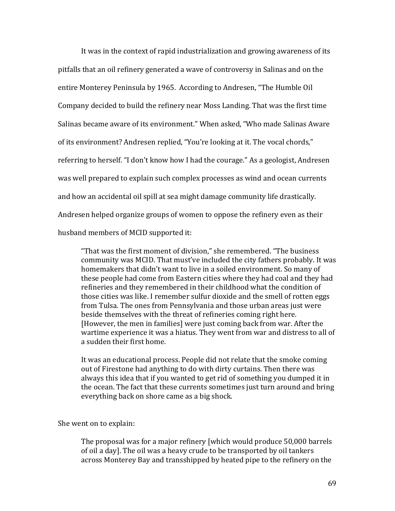It was in the context of rapid industrialization and growing awareness of its pitfalls that an oil refinery generated a wave of controversy in Salinas and on the entire Monterey Peninsula by 1965. According to Andresen, "The Humble Oil Company decided to build the refinery near Moss Landing. That was the first time Salinas became aware of its environment." When asked, "Who made Salinas Aware of its environment? Andresen replied, "You're looking at it. The vocal chords," referring to herself. "I don't know how I had the courage." As a geologist, Andresen was well prepared to explain such complex processes as wind and ocean currents and how an accidental oil spill at sea might damage community life drastically. Andresen helped organize groups of women to oppose the refinery even as their husband members of MCID supported it:

"That was the first moment of division," she remembered. "The business community was MCID. That must've included the city fathers probably. It was homemakers that didn't want to live in a soiled environment. So many of these people had come from Eastern cities where they had coal and they had refineries and they remembered in their childhood what the condition of those cities was like. I remember sulfur dioxide and the smell of rotten eggs from Tulsa. The ones from Pennsylvania and those urban areas just were beside themselves with the threat of refineries coming right here. [However, the men in families] were just coming back from war. After the wartime experience it was a hiatus. They went from war and distress to all of a sudden their first home.

It was an educational process. People did not relate that the smoke coming out of Firestone had anything to do with dirty curtains. Then there was always this idea that if you wanted to get rid of something you dumped it in the ocean. The fact that these currents sometimes just turn around and bring everything back on shore came as a big shock.

She went on to explain:

The proposal was for a major refinery [which would produce 50,000 barrels of oil a day]. The oil was a heavy crude to be transported by oil tankers across Monterey Bay and transshipped by heated pipe to the refinery on the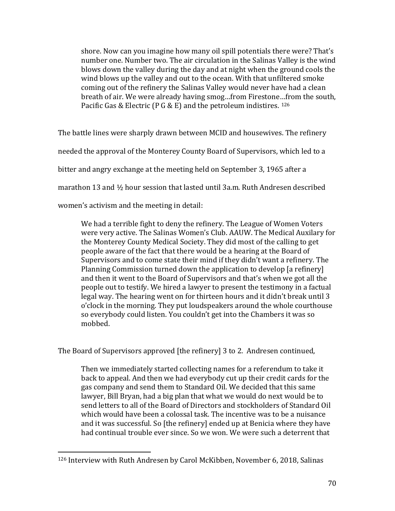shore. Now can you imagine how many oil spill potentials there were? That's number one. Number two. The air circulation in the Salinas Valley is the wind blows down the valley during the day and at night when the ground cools the wind blows up the valley and out to the ocean. With that unfiltered smoke coming out of the refinery the Salinas Valley would never have had a clean breath of air. We were already having smog…from Firestone…from the south, Pacific Gas & Electric (P G & E) and the petroleum indistires. [126](#page-69-0)

The battle lines were sharply drawn between MCID and housewives. The refinery needed the approval of the Monterey County Board of Supervisors, which led to a bitter and angry exchange at the meeting held on September 3, 1965 after a marathon 13 and ½ hour session that lasted until 3a.m. Ruth Andresen described women's activism and the meeting in detail:

We had a terrible fight to deny the refinery. The League of Women Voters were very active. The Salinas Women's Club. AAUW. The Medical Auxilary for the Monterey County Medical Society. They did most of the calling to get people aware of the fact that there would be a hearing at the Board of Supervisors and to come state their mind if they didn't want a refinery. The Planning Commission turned down the application to develop [a refinery] and then it went to the Board of Supervisors and that's when we got all the people out to testify. We hired a lawyer to present the testimony in a factual legal way. The hearing went on for thirteen hours and it didn't break until 3 o'clock in the morning. They put loudspeakers around the whole courthouse so everybody could listen. You couldn't get into the Chambers it was so mobbed.

The Board of Supervisors approved [the refinery] 3 to 2. Andresen continued,

Then we immediately started collecting names for a referendum to take it back to appeal. And then we had everybody cut up their credit cards for the gas company and send them to Standard Oil. We decided that this same lawyer, Bill Bryan, had a big plan that what we would do next would be to send letters to all of the Board of Directors and stockholders of Standard Oil which would have been a colossal task. The incentive was to be a nuisance and it was successful. So [the refinery] ended up at Benicia where they have had continual trouble ever since. So we won. We were such a deterrent that

<span id="page-69-0"></span> <sup>126</sup> Interview with Ruth Andresen by Carol McKibben, November 6, 2018, Salinas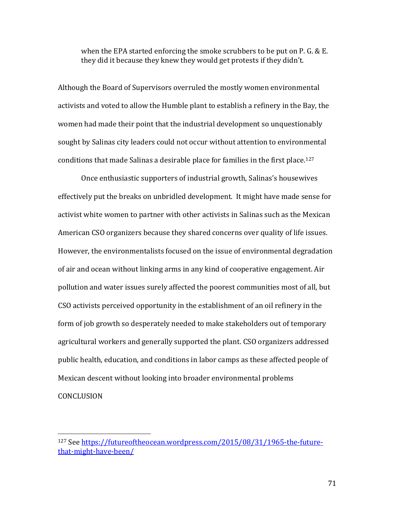when the EPA started enforcing the smoke scrubbers to be put on P. G. & E. they did it because they knew they would get protests if they didn't.

Although the Board of Supervisors overruled the mostly women environmental activists and voted to allow the Humble plant to establish a refinery in the Bay, the women had made their point that the industrial development so unquestionably sought by Salinas city leaders could not occur without attention to environmental conditions that made Salinas a desirable place for families in the first place. [127](#page-70-0)

Once enthusiastic supporters of industrial growth, Salinas's housewives effectively put the breaks on unbridled development. It might have made sense for activist white women to partner with other activists in Salinas such as the Mexican American CSO organizers because they shared concerns over quality of life issues. However, the environmentalists focused on the issue of environmental degradation of air and ocean without linking arms in any kind of cooperative engagement. Air pollution and water issues surely affected the poorest communities most of all, but CSO activists perceived opportunity in the establishment of an oil refinery in the form of job growth so desperately needed to make stakeholders out of temporary agricultural workers and generally supported the plant. CSO organizers addressed public health, education, and conditions in labor camps as these affected people of Mexican descent without looking into broader environmental problems CONCLUSION

<span id="page-70-0"></span> <sup>127</sup> See [https://futureoftheocean.wordpress.com/2015/08/31/1965-the-future](https://futureoftheocean.wordpress.com/2015/08/31/1965-the-future-that-might-have-been/)[that-might-have-been/](https://futureoftheocean.wordpress.com/2015/08/31/1965-the-future-that-might-have-been/)